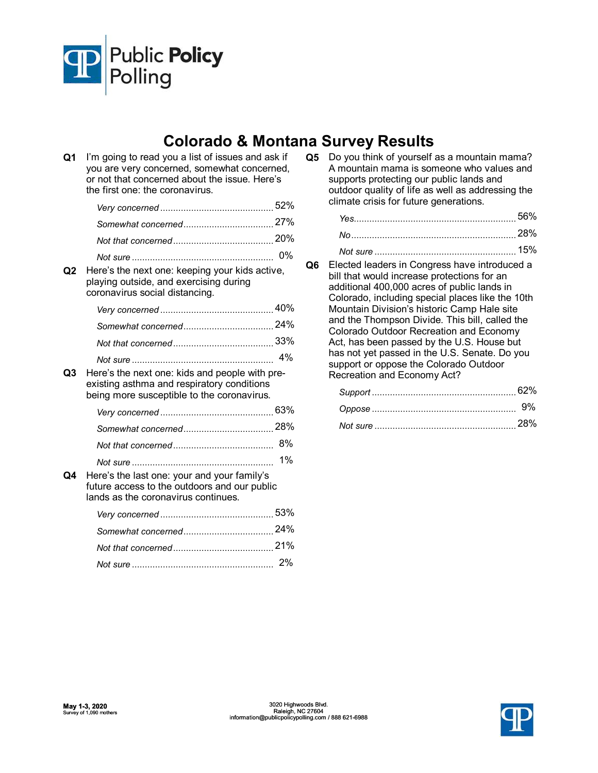

## **Colorado & Montana Survey Results**

| Q <sub>1</sub> | I'm going to read you a list of issues and ask if<br>you are very concerned, somewhat concerned,<br>or not that concerned about the issue. Here's<br>the first one: the coronavirus. |       |
|----------------|--------------------------------------------------------------------------------------------------------------------------------------------------------------------------------------|-------|
|                |                                                                                                                                                                                      |       |
|                |                                                                                                                                                                                      |       |
|                |                                                                                                                                                                                      |       |
|                |                                                                                                                                                                                      | $0\%$ |
| O2             | Here's the next one: keeping your kids active,<br>playing outside, and exercising during<br>coronavirus social distancing.                                                           |       |
|                |                                                                                                                                                                                      |       |
|                |                                                                                                                                                                                      |       |
|                |                                                                                                                                                                                      |       |
|                |                                                                                                                                                                                      |       |
| O3             | Here's the next one: kids and people with pre-<br>existing asthma and respiratory conditions<br>being more susceptible to the coronavirus.                                           |       |
|                |                                                                                                                                                                                      |       |
|                |                                                                                                                                                                                      |       |
|                |                                                                                                                                                                                      |       |
|                |                                                                                                                                                                                      | 1%    |
| O4             | Here's the last one: your and your family's<br>future access to the outdoors and our public<br>lands as the coronavirus continues.                                                   |       |
|                |                                                                                                                                                                                      |       |
|                |                                                                                                                                                                                      |       |
|                |                                                                                                                                                                                      |       |
|                |                                                                                                                                                                                      |       |

**Q5** Do you think of yourself as a mountain mama? A mountain mama is someone who values and supports protecting our public lands and outdoor quality of life as well as addressing the climate crisis for future generations.

| -28% |
|------|
| 15%  |

**Q6** Elected leaders in Congress have introduced a bill that would increase protections for an additional 400,000 acres of public lands in Colorado, including special places like the 10th Mountain Division's historic Camp Hale site and the Thompson Divide. This bill, called the Colorado Outdoor Recreation and Economy Act, has been passed by the U.S. House but has not yet passed in the U.S. Senate. Do you support or oppose the Colorado Outdoor Recreation and Economy Act?

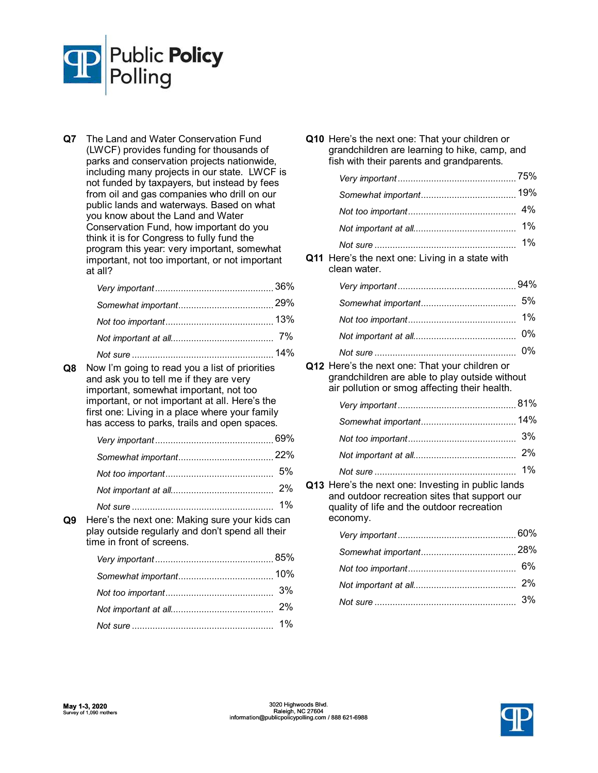

**Q7** The Land and Water Conservation Fund (LWCF) provides funding for thousands of parks and conservation projects nationwide, including many projects in our state. LWCF is not funded by taxpayers, but instead by fees from oil and gas companies who drill on our public lands and waterways. Based on what you know about the Land and Water Conservation Fund, how important do you think it is for Congress to fully fund the program this year: very important, somewhat important, not too important, or not important at all?

**Q8** Now I'm going to read you a list of priorities and ask you to tell me if they are very important, somewhat important, not too important, or not important at all. Here's the first one: Living in a place where your family has access to parks, trails and open spaces.

| $\mathbf{r}$ , and the contract of the contract of the contract of the contract of the contract of the contract of the contract of the contract of the contract of the contract of the contract of the contract of the contract o |  |
|-----------------------------------------------------------------------------------------------------------------------------------------------------------------------------------------------------------------------------------|--|

**Q9** Here's the next one: Making sure your kids can play outside regularly and don't spend all their time in front of screens.

| Q10 Here's the next one: That your children or<br>grandchildren are learning to hike, camp, and<br>fish with their parents and grandparents.                  |     |
|---------------------------------------------------------------------------------------------------------------------------------------------------------------|-----|
|                                                                                                                                                               | 75% |
|                                                                                                                                                               |     |
|                                                                                                                                                               | 4%  |
|                                                                                                                                                               | 1%  |
| Q11 Here's the next one: Living in a state with<br>clean water.                                                                                               | 1%  |
|                                                                                                                                                               |     |
|                                                                                                                                                               | 5%  |
|                                                                                                                                                               | 1%  |
|                                                                                                                                                               | 0%  |
|                                                                                                                                                               | 0%  |
| Q12 Here's the next one: That your children or<br>grandchildren are able to play outside without<br>air pollution or smog affecting their health.             |     |
|                                                                                                                                                               |     |
|                                                                                                                                                               |     |
|                                                                                                                                                               |     |
|                                                                                                                                                               | 2%  |
|                                                                                                                                                               | 1%  |
| Q13 Here's the next one: Investing in public lands<br>and outdoor recreation sites that support our<br>quality of life and the outdoor recreation<br>economy. |     |
|                                                                                                                                                               |     |
|                                                                                                                                                               |     |
|                                                                                                                                                               |     |
|                                                                                                                                                               | 2%  |

*Not sure* 3% .......................................................

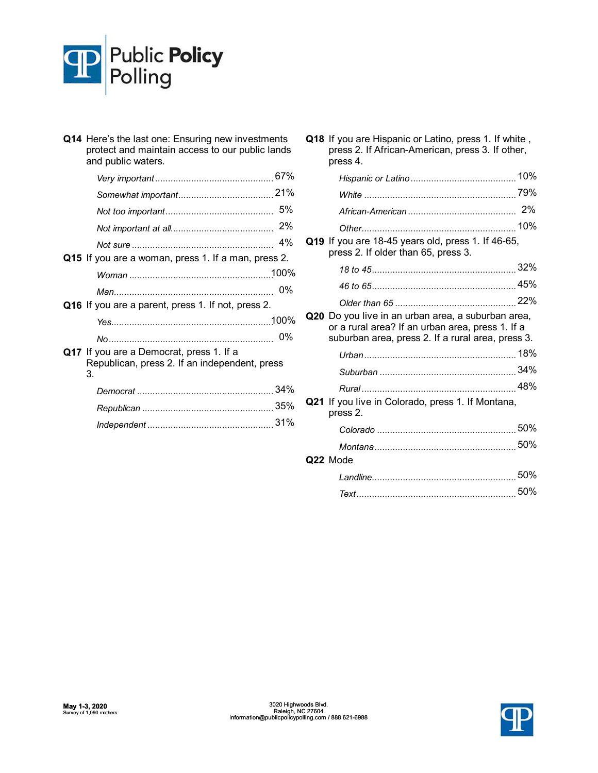

| Q14 Here's the last one: Ensuring new investments<br>protect and maintain access to our public lands<br>and public waters. |       |  |
|----------------------------------------------------------------------------------------------------------------------------|-------|--|
|                                                                                                                            |       |  |
|                                                                                                                            |       |  |
|                                                                                                                            |       |  |
|                                                                                                                            |       |  |
|                                                                                                                            | 4%    |  |
| Q15 If you are a woman, press 1. If a man, press 2.                                                                        |       |  |
|                                                                                                                            |       |  |
|                                                                                                                            | $0\%$ |  |
| Q16 If you are a parent, press 1. If not, press 2.                                                                         |       |  |
|                                                                                                                            |       |  |
|                                                                                                                            |       |  |
| Q17 If you are a Democrat, press 1. If a<br>Republican, press 2. If an independent, press<br>3.                            |       |  |
|                                                                                                                            |       |  |
|                                                                                                                            |       |  |
|                                                                                                                            |       |  |
|                                                                                                                            |       |  |

|     | <b>Q18</b> If you are Hispanic or Latino, press 1. If white,<br>press 2. If African-American, press 3. If other,<br>press 4.                                |  |
|-----|-------------------------------------------------------------------------------------------------------------------------------------------------------------|--|
|     |                                                                                                                                                             |  |
|     |                                                                                                                                                             |  |
|     |                                                                                                                                                             |  |
|     |                                                                                                                                                             |  |
|     | Q19 If you are 18-45 years old, press 1. If 46-65,<br>press 2. If older than 65, press 3.                                                                   |  |
|     |                                                                                                                                                             |  |
|     |                                                                                                                                                             |  |
|     |                                                                                                                                                             |  |
|     | Q20 Do you live in an urban area, a suburban area,<br>or a rural area? If an urban area, press 1. If a<br>suburban area, press 2. If a rural area, press 3. |  |
|     |                                                                                                                                                             |  |
|     |                                                                                                                                                             |  |
|     |                                                                                                                                                             |  |
| Q21 | If you live in Colorado, press 1. If Montana,<br>press 2.                                                                                                   |  |
|     |                                                                                                                                                             |  |
|     |                                                                                                                                                             |  |
|     | Q22 Mode                                                                                                                                                    |  |
|     |                                                                                                                                                             |  |
|     |                                                                                                                                                             |  |

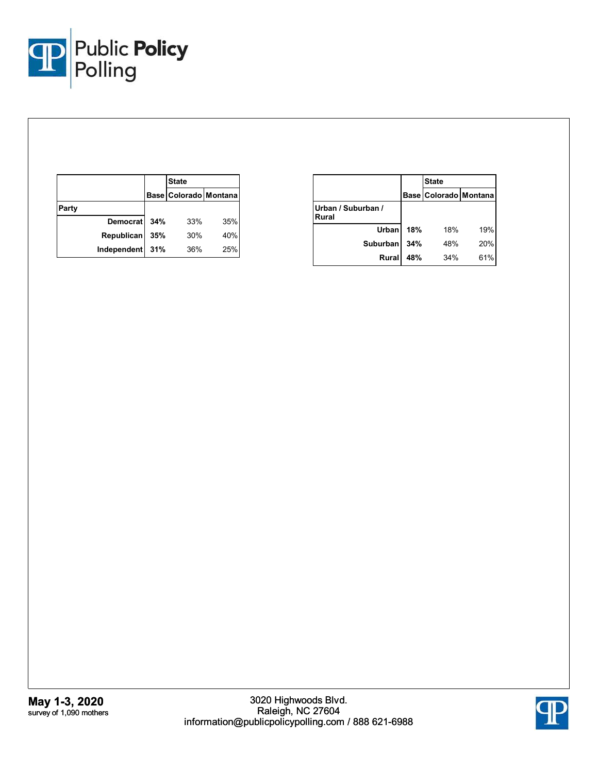

|       |                   |     | <b>State</b>          |     |
|-------|-------------------|-----|-----------------------|-----|
|       |                   |     | Base Colorado Montana |     |
| Party |                   |     |                       |     |
|       | Democrat          | 34% | 33%                   | 35% |
|       | <b>Republican</b> | 35% | 30%                   | 40% |
|       | Independent       | 31% | 36%                   | 25% |

|                             |     | <b>State</b>              |     |  |
|-----------------------------|-----|---------------------------|-----|--|
|                             |     | Base   Colorado   Montana |     |  |
| Urban / Suburban /<br>Rural |     |                           |     |  |
| Urban                       | 18% | 18%                       | 19% |  |
| <b>Suburban</b>             | 34% | 48%                       | 20% |  |
| <b>Rural</b>                | 48% | 34%                       | 61% |  |

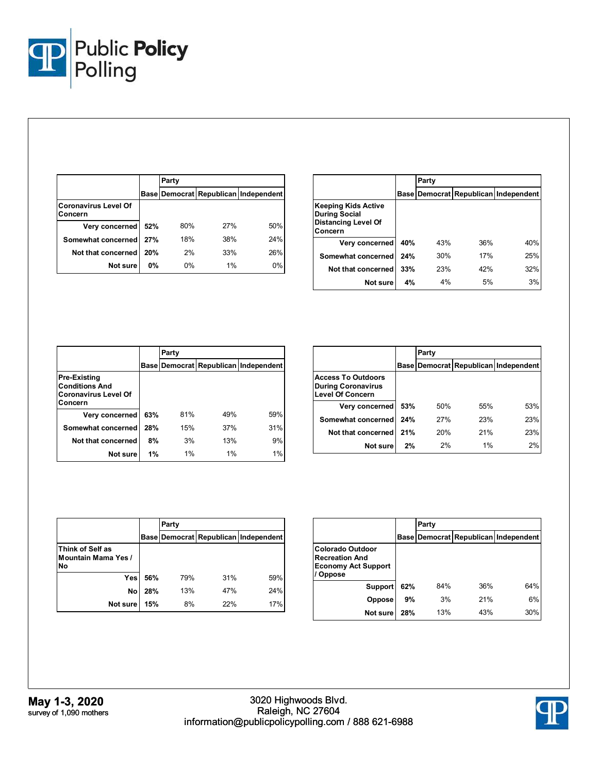

|                                        |           | Party |       |                                      |
|----------------------------------------|-----------|-------|-------|--------------------------------------|
|                                        |           |       |       | Base Democrat Republican Independent |
| <b>Coronavirus Level Of</b><br>Concern |           |       |       |                                      |
| Very concerned                         | 52%       | 80%   | 27%   | 50%                                  |
| Somewhat concerned                     | 27%       | 18%   | 38%   | 24%                                  |
| Not that concerned                     | 20%       | 2%    | 33%   | 26%                                  |
| Not sure                               | <b>0%</b> | 0%    | $1\%$ | $0\%$                                |

|                                                                                      |     | Party |     |                                      |
|--------------------------------------------------------------------------------------|-----|-------|-----|--------------------------------------|
|                                                                                      |     |       |     | Base Democrat Republican Independent |
| Keeping Kids Active<br><b>During Social</b><br><b>Distancing Level Of</b><br>Concern |     |       |     |                                      |
| Very concerned                                                                       | 40% | 43%   | 36% | 40%                                  |
| Somewhat concerned                                                                   | 24% | 30%   | 17% | 25%                                  |
| Not that concerned                                                                   | 33% | 23%   | 42% | 32%                                  |
| Not sure                                                                             | 4%  | 4%    | 5%  | 3%                                   |

|                                                                                        |     | Party |       |                                            |
|----------------------------------------------------------------------------------------|-----|-------|-------|--------------------------------------------|
|                                                                                        |     |       |       | Base   Democrat   Republican   Independent |
| <b>Pre-Existing</b><br><b>Conditions And</b><br><b>Coronavirus Level Of</b><br>Concern |     |       |       |                                            |
| Very concerned                                                                         | 63% | 81%   | 49%   | 59%                                        |
| Somewhat concerned                                                                     | 28% | 15%   | 37%   | 31%                                        |
| Not that concerned                                                                     | 8%  | 3%    | 13%   | 9%                                         |
| Not sure                                                                               | 1%  | 1%    | $1\%$ | 1%                                         |

|                                                                                   |     | Party |     |                                      |
|-----------------------------------------------------------------------------------|-----|-------|-----|--------------------------------------|
|                                                                                   |     |       |     | Base Democrat Republican Independent |
| <b>Access To Outdoors</b><br><b>During Coronavirus</b><br><b>Level Of Concern</b> |     |       |     |                                      |
| Very concerned                                                                    | 53% | 50%   | 55% | 53%                                  |
| Somewhat concerned                                                                | 24% | 27%   | 23% | 23%                                  |
| Not that concerned                                                                | 21% | 20%   | 21% | 23%                                  |
| Not sure                                                                          | 2%  | 2%    | 1%  | 2%                                   |

|                                                      |     | Party |     |                                      |
|------------------------------------------------------|-----|-------|-----|--------------------------------------|
|                                                      |     |       |     | Base Democrat Republican Independent |
| Think of Self as<br><b>Mountain Mama Yes /</b><br>No |     |       |     |                                      |
| Yes                                                  | 56% | 79%   | 31% | 59%                                  |
| No                                                   | 28% | 13%   | 47% | 24%                                  |
| Not sure                                             | 15% | 8%    | 22% | 17%                                  |

|                                                                                   |     | Party |     |                                            |
|-----------------------------------------------------------------------------------|-----|-------|-----|--------------------------------------------|
|                                                                                   |     |       |     | Base   Democrat   Republican   Independent |
| Colorado Outdoor<br><b>Recreation And</b><br><b>Economy Act Support</b><br>Oppose |     |       |     |                                            |
| <b>Support</b>                                                                    | 62% | 84%   | 36% | 64%                                        |
| Oppose                                                                            | 9%  | 3%    | 21% | 6%                                         |
| Not sure                                                                          | 28% | 13%   | 43% | 30%                                        |

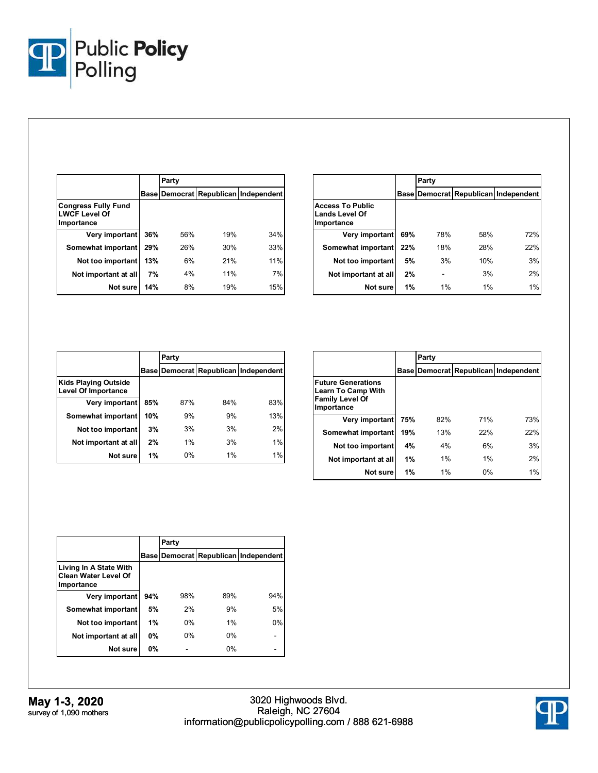

|                                                                  |     | Party |     |                                      |
|------------------------------------------------------------------|-----|-------|-----|--------------------------------------|
|                                                                  |     |       |     | Base Democrat Republican Independent |
| <b>Congress Fully Fund</b><br><b>LWCF Level Of</b><br>Importance |     |       |     |                                      |
| Very important                                                   | 36% | 56%   | 19% | 34%                                  |
| Somewhat important                                               | 29% | 26%   | 30% | 33%                                  |
| Not too important                                                | 13% | 6%    | 21% | 11%                                  |
| Not important at all                                             | 7%  | 4%    | 11% | 7%                                   |
| Not sure                                                         | 14% | 8%    | 19% | 15%                                  |

|                                                                |     | Party |     |                                      |
|----------------------------------------------------------------|-----|-------|-----|--------------------------------------|
|                                                                |     |       |     | Base Democrat Republican Independent |
| <b>Access To Public</b><br><b>Lands Level Of</b><br>Importance |     |       |     |                                      |
| Very important                                                 | 69% | 78%   | 58% | 72%                                  |
| Somewhat important                                             | 22% | 18%   | 28% | 22%                                  |
| Not too important                                              | 5%  | 3%    | 10% | 3%                                   |
| Not important at all                                           | 2%  |       | 3%  | 2%                                   |
| Not sure                                                       | 1%  | 1%    | 1%  | 1%                                   |

|                                                           |     | Party |     |                                      |
|-----------------------------------------------------------|-----|-------|-----|--------------------------------------|
|                                                           |     |       |     | Base Democrat Republican Independent |
| <b>Kids Playing Outside</b><br><b>Level Of Importance</b> |     |       |     |                                      |
| Very important                                            | 85% | 87%   | 84% | 83%                                  |
| Somewhat important                                        | 10% | 9%    | 9%  | 13%                                  |
| Not too important                                         | 3%  | 3%    | 3%  | 2%                                   |
| Not important at all                                      | 2%  | 1%    | 3%  | 1%                                   |
| Not sure                                                  | 1%  | 0%    | 1%  | 1%                                   |

|                                                                                                |     | Party |       |                                      |
|------------------------------------------------------------------------------------------------|-----|-------|-------|--------------------------------------|
|                                                                                                |     |       |       | Base Democrat Republican Independent |
| <b>Future Generations</b><br><b>Learn To Camp With</b><br><b>Family Level Of</b><br>Importance |     |       |       |                                      |
| Very important                                                                                 | 75% | 82%   | 71%   | 73%                                  |
| Somewhat important                                                                             | 19% | 13%   | 22%   | 22%                                  |
| Not too important                                                                              | 4%  | 4%    | 6%    | 3%                                   |
| Not important at all                                                                           | 1%  | 1%    | 1%    | 2%                                   |
| Not sure                                                                                       | 1%  | $1\%$ | $0\%$ | 1%                                   |

|                                                                     |           | Party |       |                                      |
|---------------------------------------------------------------------|-----------|-------|-------|--------------------------------------|
|                                                                     |           |       |       | Base Democrat Republican Independent |
| Living In A State With<br><b>Clean Water Level Of</b><br>Importance |           |       |       |                                      |
| Very important                                                      | 94%       | 98%   | 89%   | 94%                                  |
| Somewhat important                                                  | 5%        | 2%    | 9%    | 5%                                   |
| Not too important                                                   | 1%        | 0%    | 1%    | 0%                                   |
| Not important at all                                                | <b>0%</b> | 0%    | $0\%$ |                                      |
| Not sure                                                            | $0\%$     |       | 0%    |                                      |



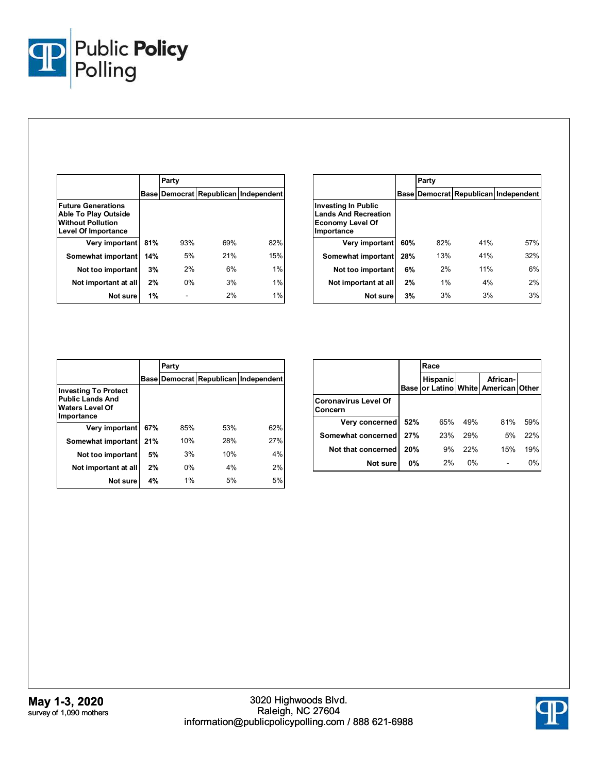

|                                                                                                      |     | Party |     |                                      |
|------------------------------------------------------------------------------------------------------|-----|-------|-----|--------------------------------------|
|                                                                                                      |     |       |     | Base Democrat Republican Independent |
| <b>Future Generations</b><br>Able To Play Outside<br><b>Without Pollution</b><br>Level Of Importance |     |       |     |                                      |
| Very important                                                                                       | 81% | 93%   | 69% | 82%                                  |
| Somewhat important                                                                                   | 14% | 5%    | 21% | 15%                                  |
| Not too important                                                                                    | 3%  | 2%    | 6%  | 1%                                   |
| Not important at all                                                                                 | 2%  | 0%    | 3%  | 1%                                   |
| Not sure                                                                                             | 1%  |       | 2%  | 1%                                   |

|                                                                                             |     | Party |     |                                      |
|---------------------------------------------------------------------------------------------|-----|-------|-----|--------------------------------------|
|                                                                                             |     |       |     | Base Democrat Republican Independent |
| Investing In Public<br><b>Lands And Recreation</b><br><b>Economy Level Of</b><br>Importance |     |       |     |                                      |
| Very important                                                                              | 60% | 82%   | 41% | 57%                                  |
| Somewhat important                                                                          | 28% | 13%   | 41% | 32%                                  |
| Not too important                                                                           | 6%  | 2%    | 11% | 6%                                   |
| Not important at all                                                                        | 2%  | 1%    | 4%  | 2%                                   |
| Not sure                                                                                    | 3%  | 3%    | 3%  | 3%                                   |

|                                                                                                |     | Party |     |                                      |  |  |  |
|------------------------------------------------------------------------------------------------|-----|-------|-----|--------------------------------------|--|--|--|
|                                                                                                |     |       |     | Base Democrat Republican Independent |  |  |  |
| <b>Investing To Protect</b><br><b>Public Lands And</b><br><b>Waters Level Of</b><br>Importance |     |       |     |                                      |  |  |  |
| Very important                                                                                 | 67% | 85%   | 53% | 62%                                  |  |  |  |
| Somewhat important                                                                             | 21% | 10%   | 28% | 27%                                  |  |  |  |
| Not too important                                                                              | 5%  | 3%    | 10% | 4%                                   |  |  |  |
| Not important at all                                                                           | 2%  | 0%    | 4%  | 2%                                   |  |  |  |
| Not sure                                                                                       | 4%  | 1%    | 5%  | 5%                                   |  |  |  |

|                                        |             | Race            |       |                                                  |     |
|----------------------------------------|-------------|-----------------|-------|--------------------------------------------------|-----|
|                                        | <b>Base</b> | <b>Hispanic</b> |       | African-<br>or Latino   White   American   Other |     |
| <b>Coronavirus Level Of</b><br>Concern |             |                 |       |                                                  |     |
| Very concerned                         | 52%         | 65%             | 49%   | 81%                                              | 59% |
| Somewhat concerned                     | 27%         | 23%             | 29%   | 5%                                               | 22% |
| Not that concerned                     | 20%         | 9%              | 22%   | 15%                                              | 19% |
| Not sure                               | $0\%$       | 2%              | $0\%$ |                                                  | 0%  |

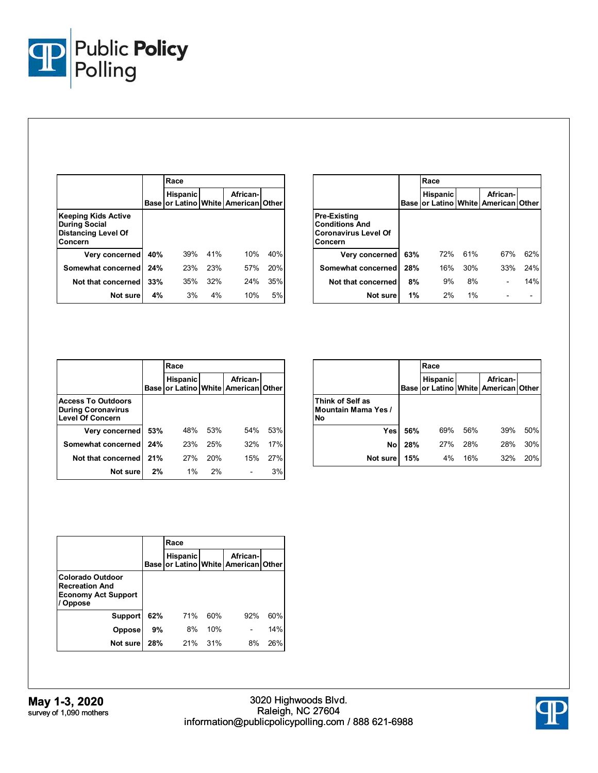

|                                                                                      |             | Race            |     |                                                  |     |
|--------------------------------------------------------------------------------------|-------------|-----------------|-----|--------------------------------------------------|-----|
|                                                                                      | <b>Base</b> | <b>Hispanic</b> |     | African-<br>or Latino   White   American   Other |     |
| Keeping Kids Active<br><b>During Social</b><br><b>Distancing Level Of</b><br>Concern |             |                 |     |                                                  |     |
| Very concerned                                                                       | 40%         | 39%             | 41% | 10%                                              | 40% |
| Somewhat concerned                                                                   | 24%         | 23%             | 23% | 57%                                              | 20% |
| Not that concerned                                                                   | 33%         | 35%             | 32% | 24%                                              | 35% |
| Not sure                                                                             | 4%          | 3%              | 4%  | 10%                                              | 5%  |

|                                                                                        |             | Race            |     |                                                  |     |
|----------------------------------------------------------------------------------------|-------------|-----------------|-----|--------------------------------------------------|-----|
|                                                                                        | <b>Base</b> | <b>Hispanic</b> |     | African-<br>or Latino   White   American   Other |     |
| <b>Pre-Existing</b><br><b>Conditions And</b><br><b>Coronavirus Level Of</b><br>Concern |             |                 |     |                                                  |     |
| Very concerned                                                                         | 63%         | 72%             | 61% | 67%                                              | 62% |
| Somewhat concerned                                                                     | 28%         | 16%             | 30% | 33%                                              | 24% |
| Not that concerned                                                                     | 8%          | 9%              | 8%  |                                                  | 14% |
| Not sure                                                                               | 1%          | 2%              | 1%  |                                                  |     |

|                                                                                   |             | Race            |     |                                            |     |
|-----------------------------------------------------------------------------------|-------------|-----------------|-----|--------------------------------------------|-----|
|                                                                                   | <b>Base</b> | <b>Hispanic</b> |     | African-<br>or Latino White American Other |     |
| <b>Access To Outdoors</b><br><b>During Coronavirus</b><br><b>Level Of Concern</b> |             |                 |     |                                            |     |
| Very concerned                                                                    | 53%         | 48%             | 53% | 54%                                        | 53% |
| Somewhat concerned                                                                | 24%         | 23%             | 25% | 32%                                        | 17% |
| Not that concerned                                                                | 21%         | 27%             | 20% | 15%                                        | 27% |
| Not sure                                                                          | 2%          | 1%              | 2%  |                                            | 3%  |

|                                                      |             | Race            |     |                                                  |     |  |
|------------------------------------------------------|-------------|-----------------|-----|--------------------------------------------------|-----|--|
|                                                      | <b>Base</b> | <b>Hispanic</b> |     | African-<br>or Latino   White   American   Other |     |  |
| Think of Self as<br><b>Mountain Mama Yes /</b><br>No |             |                 |     |                                                  |     |  |
| Yes                                                  | 56%         | 69%             | 56% | 39%                                              | 50% |  |
| No                                                   | 28%         | 27%             | 28% | 28%                                              | 30% |  |
| Not sure                                             | 15%         | 4%              | 16% | 32%                                              | 20% |  |

|                                                                                                 |     | Race            |     |                                                   |     |
|-------------------------------------------------------------------------------------------------|-----|-----------------|-----|---------------------------------------------------|-----|
|                                                                                                 |     | <b>Hispanic</b> |     | African-I<br>Base for Latino White American Other |     |
| <b>Colorado Outdoor</b><br><b>Recreation And</b><br><b>Economy Act Support</b><br><b>Oppose</b> |     |                 |     |                                                   |     |
| Support                                                                                         | 62% | 71%             | 60% | 92%                                               | 60% |
| <b>Oppose</b>                                                                                   | 9%  | 8%              | 10% |                                                   | 14% |
| Not sure                                                                                        | 28% | 21%             | 31% | 8%                                                | 26% |

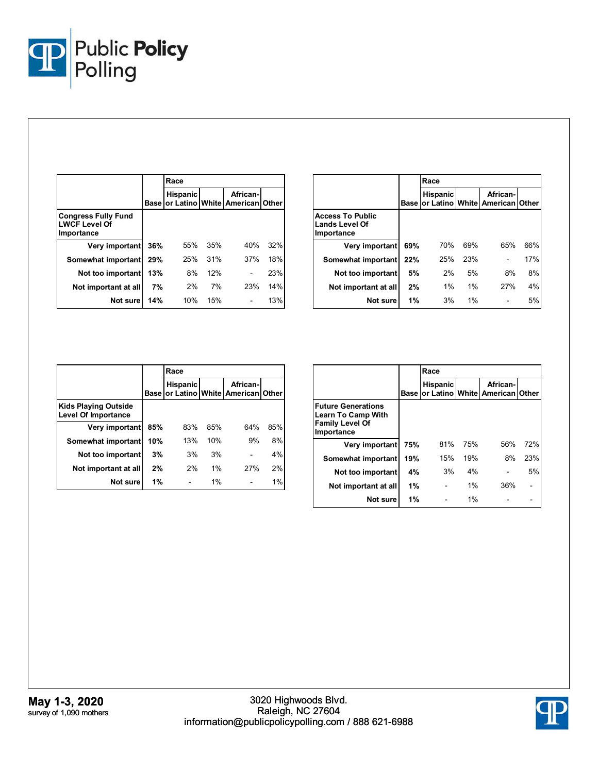

|                                                                  |             | Race            |     |                                                  |     |
|------------------------------------------------------------------|-------------|-----------------|-----|--------------------------------------------------|-----|
|                                                                  | <b>Base</b> | <b>Hispanic</b> |     | African-<br>or Latino   White   American   Other |     |
| <b>Congress Fully Fund</b><br><b>LWCF Level Of</b><br>Importance |             |                 |     |                                                  |     |
| Very important                                                   | 36%         | 55%             | 35% | 40%                                              | 32% |
| Somewhat important                                               | 29%         | 25%             | 31% | 37%                                              | 18% |
| Not too important                                                | 13%         | 8%              | 12% |                                                  | 23% |
| Not important at all                                             | 7%          | 2%              | 7%  | 23%                                              | 14% |
| Not sure                                                         | 14%         | 10%             | 15% |                                                  | 13% |

|                                                                |      | Race            |       |                                                  |     |
|----------------------------------------------------------------|------|-----------------|-------|--------------------------------------------------|-----|
|                                                                | Base | <b>Hispanic</b> |       | African-<br>or Latino   White   American   Other |     |
| <b>Access To Public</b><br><b>Lands Level Of</b><br>Importance |      |                 |       |                                                  |     |
| Very important                                                 | 69%  | 70%             | 69%   | 65%                                              | 66% |
| Somewhat important                                             | 22%  | 25%             | 23%   |                                                  | 17% |
| Not too important                                              | 5%   | 2%              | 5%    | 8%                                               | 8%  |
| Not important at all                                           | 2%   | $1\%$           | 1%    | 27%                                              | 4%  |
| Not sure                                                       | 1%   | 3%              | $1\%$ |                                                  | 5%  |

|                                                           |      | Race            |       |                                                  |     |
|-----------------------------------------------------------|------|-----------------|-------|--------------------------------------------------|-----|
|                                                           | Base | <b>Hispanic</b> |       | African-<br>or Latino   White   American   Other |     |
| <b>Kids Playing Outside</b><br><b>Level Of Importance</b> |      |                 |       |                                                  |     |
| Very important                                            | 85%  | 83%             | 85%   | 64%                                              | 85% |
| Somewhat important                                        | 10%  | 13%             | 10%   | 9%                                               | 8%  |
| Not too important                                         | 3%   | 3%              | 3%    |                                                  | 4%  |
| Not important at all                                      | 2%   | 2%              | $1\%$ | 27%                                              | 2%  |
| Not sure                                                  | 1%   |                 | $1\%$ |                                                  | 1%  |

|                                                                                                |             | Race            |       |                                                  |     |  |
|------------------------------------------------------------------------------------------------|-------------|-----------------|-------|--------------------------------------------------|-----|--|
|                                                                                                | <b>Base</b> | <b>Hispanic</b> |       | African-<br>or Latino   White   American   Other |     |  |
| <b>Future Generations</b><br><b>Learn To Camp With</b><br><b>Family Level Of</b><br>Importance |             |                 |       |                                                  |     |  |
| Very important                                                                                 | 75%         | 81%             | 75%   | 56%                                              | 72% |  |
| Somewhat important                                                                             | 19%         | 15%             | 19%   | 8%                                               | 23% |  |
| Not too important                                                                              | 4%          | 3%              | 4%    |                                                  | 5%  |  |
| Not important at all                                                                           | 1%          |                 | $1\%$ | 36%                                              |     |  |
| Not sure                                                                                       | 1%          |                 | $1\%$ |                                                  |     |  |

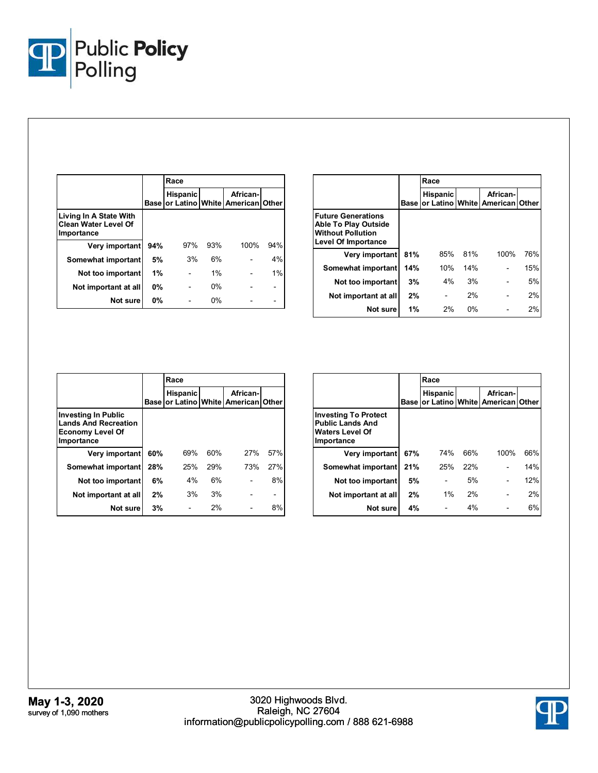

|                                                                     |             | Race            |       |                                                  |     |
|---------------------------------------------------------------------|-------------|-----------------|-------|--------------------------------------------------|-----|
|                                                                     | <b>Base</b> | <b>Hispanic</b> |       | African-<br>or Latino   White   American   Other |     |
| Living In A State With<br><b>Clean Water Level Of</b><br>Importance |             |                 |       |                                                  |     |
| Very important                                                      | 94%         | 97%             | 93%   | 100%                                             | 94% |
| Somewhat important                                                  | 5%          | 3%              | 6%    |                                                  | 4%  |
| Not too important                                                   | 1%          |                 | $1\%$ |                                                  | 1%  |
| Not important at all                                                | 0%          |                 | $0\%$ |                                                  |     |
| Not sure                                                            | 0%          |                 | $0\%$ |                                                  |     |

|                                                                                                             | Race        |                 |     |                                                  |     |
|-------------------------------------------------------------------------------------------------------------|-------------|-----------------|-----|--------------------------------------------------|-----|
|                                                                                                             | <b>Base</b> | <b>Hispanic</b> |     | African-<br>or Latino   White   American   Other |     |
| <b>Future Generations</b><br>Able To Play Outside<br><b>Without Pollution</b><br><b>Level Of Importance</b> |             |                 |     |                                                  |     |
| Very important                                                                                              | 81%         | 85%             | 81% | 100%                                             | 76% |
| Somewhat important                                                                                          | 14%         | 10%             | 14% |                                                  | 15% |
| Not too important                                                                                           | 3%          | 4%              | 3%  |                                                  | 5%  |
| Not important at all                                                                                        | 2%          |                 | 2%  |                                                  | 2%  |
| Not sure                                                                                                    | 1%          | 2%              | 0%  |                                                  | 2%  |

|                                                                                                    |             | Race            |     |                                                  |     |  |
|----------------------------------------------------------------------------------------------------|-------------|-----------------|-----|--------------------------------------------------|-----|--|
|                                                                                                    | <b>Base</b> | <b>Hispanic</b> |     | African-<br>or Latino   White   American   Other |     |  |
| <b>Investing In Public</b><br><b>Lands And Recreation</b><br><b>Economy Level Of</b><br>Importance |             |                 |     |                                                  |     |  |
| Very important                                                                                     | 60%         | 69%             | 60% | 27%                                              | 57% |  |
| Somewhat important                                                                                 | 28%         | 25%             | 29% | 73%                                              | 27% |  |
| Not too important                                                                                  | 6%          | 4%              | 6%  |                                                  | 8%  |  |
| Not important at all                                                                               | 2%          | 3%              | 3%  |                                                  |     |  |
| Not sure                                                                                           | 3%          |                 | 2%  |                                                  | 8%  |  |

|                                                                                                |        | Race            |     |                                                  |     |  |
|------------------------------------------------------------------------------------------------|--------|-----------------|-----|--------------------------------------------------|-----|--|
|                                                                                                | Base I | <b>Hispanic</b> |     | African-<br>or Latino   White   American   Other |     |  |
| <b>Investing To Protect</b><br><b>Public Lands And</b><br><b>Waters Level Of</b><br>Importance |        |                 |     |                                                  |     |  |
| Very important                                                                                 | 67%    | 74%             | 66% | 100%                                             | 66% |  |
| Somewhat important                                                                             | 21%    | 25%             | 22% |                                                  | 14% |  |
| Not too important                                                                              | 5%     |                 | 5%  |                                                  | 12% |  |
| Not important at all                                                                           | 2%     | $1\%$           | 2%  |                                                  | 2%  |  |
| Not sure                                                                                       | 4%     |                 | 4%  |                                                  | 6%  |  |

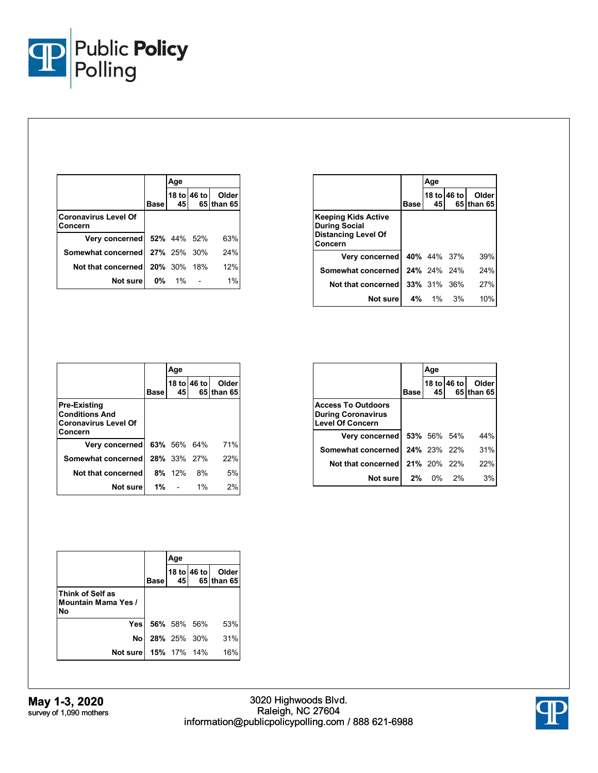

|                                        |      | Age                |             |                     |
|----------------------------------------|------|--------------------|-------------|---------------------|
|                                        | Base | 45                 | 18 to 46 to | Older<br>65 than 65 |
| <b>Coronavirus Level Of</b><br>Concern |      |                    |             |                     |
| Very concerned 52% 44% 52%             |      |                    |             | 63%                 |
| Somewhat concerned 27% 25% 30%         |      |                    |             | 24%                 |
| Not that concerned                     |      | <b>20%</b> 30% 18% |             | 12%                 |
| Not sure                               |      | $0\%$ 1%           |             | 1%                  |

|                                                                                             |      | Age                |             |                      |
|---------------------------------------------------------------------------------------------|------|--------------------|-------------|----------------------|
|                                                                                             | Base | 45                 | 18 to 46 to | Older<br>65 Ithan 65 |
| <b>Keeping Kids Active</b><br><b>During Social</b><br><b>Distancing Level Of</b><br>Concern |      |                    |             |                      |
| Very concerned                                                                              |      | <b>40%</b> 44% 37% |             | 39%                  |
| Somewhat concerned                                                                          |      | 24% 24% 24%        |             | 24%                  |
| Not that concerned                                                                          |      | <b>33%</b> 31% 36% |             | 27%                  |
| Not sure                                                                                    |      | 4% 1% 3%           |             | 10%                  |

|                                                                                        |       | Age                |             |                     |
|----------------------------------------------------------------------------------------|-------|--------------------|-------------|---------------------|
|                                                                                        | Base  | 45                 | 18 to 46 to | Older<br>65 than 65 |
| <b>Pre-Existing</b><br><b>Conditions And</b><br><b>Coronavirus Level Of</b><br>Concern |       |                    |             |                     |
| Very concerned                                                                         |       | 63% 56% 64%        |             | 71%                 |
| Somewhat concerned                                                                     |       | <b>28%</b> 33% 27% |             | 22%                 |
| Not that concerned                                                                     |       | 8% 12%             | 8%          | 5%                  |
| Not surel                                                                              | $1\%$ |                    | $1\%$       | 2%                  |

|                                                                                   |             | Age         |             |            |
|-----------------------------------------------------------------------------------|-------------|-------------|-------------|------------|
|                                                                                   |             |             | 18 to 46 to | Older      |
|                                                                                   | <b>Base</b> | 45          |             | 65 than 65 |
| <b>Access To Outdoors</b><br><b>During Coronavirus</b><br><b>Level Of Concern</b> |             |             |             |            |
| Very concerned                                                                    |             | 53% 56% 54% |             | 44%        |
| Somewhat concerned                                                                |             | 24% 23% 22% |             | 31%        |
| Not that concerned                                                                |             | 21% 20% 22% |             | 22%        |
| Not sure                                                                          |             | 2% 0% 2%    |             | 3%         |

|                                                      |             | Age         |             |                     |
|------------------------------------------------------|-------------|-------------|-------------|---------------------|
|                                                      | <b>Base</b> | 45          | 18 to 46 to | Older<br>65 than 65 |
| Think of Self as<br><b>Mountain Mama Yes /</b><br>N٥ |             |             |             |                     |
| Yesl                                                 |             | 56% 58% 56% |             | 53%                 |
| No.                                                  |             | 28% 25% 30% |             | 31%                 |
| Not sure   15% 17% 14%                               |             |             |             | 16%                 |

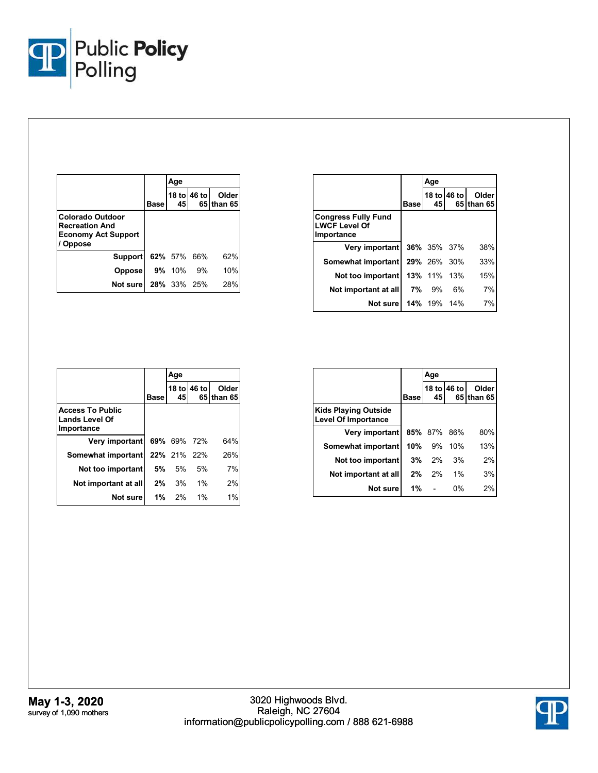

|                                                                                          |      | Age           |             |                     |
|------------------------------------------------------------------------------------------|------|---------------|-------------|---------------------|
|                                                                                          | Base | 45            | 18 to 46 to | Older<br>65 than 65 |
| Colorado Outdoor<br><b>Recreation And</b><br><b>Economy Act Support</b><br><b>Oppose</b> |      |               |             |                     |
| Support                                                                                  |      | 62% 57% 66%   |             | 62%                 |
| <b>Oppose</b>                                                                            |      | <b>9%</b> 10% | 9%          | 10%                 |
| Not sure                                                                                 |      | 28% 33% 25%   |             | 28%                 |

|                                                                  |             | Age                |             |                     |
|------------------------------------------------------------------|-------------|--------------------|-------------|---------------------|
|                                                                  | <b>Base</b> | 45 I               | 18 to 46 to | Older<br>65 than 65 |
| <b>Congress Fully Fund</b><br><b>LWCF Level Of</b><br>Importance |             |                    |             |                     |
| <b>Very important 36% 35% 37%</b>                                |             |                    |             | 38%                 |
| Somewhat important   29% 26% 30%                                 |             |                    |             | 33%                 |
| Not too important                                                |             | <b>13%</b> 11% 13% |             | 15%                 |
| Not important at all                                             |             | 7% 9%              | 6%          | 7%                  |
| Not sure   14% 19% 14%                                           |             |                    |             | 7%                  |

|                                                                |             | Age         |             |                     |
|----------------------------------------------------------------|-------------|-------------|-------------|---------------------|
|                                                                | <b>Base</b> | 45          | 18 to 46 to | Older<br>65 than 65 |
| <b>Access To Public</b><br><b>Lands Level Of</b><br>Importance |             |             |             |                     |
| Very important                                                 |             | 69% 69% 72% |             | 64%                 |
| Somewhat important                                             |             | 22% 21% 22% |             | 26%                 |
| Not too important                                              | 5% l        | 5%          | 5%          | 7%                  |
| Not important at all                                           | $2\%$       | 3%          | 1%          | 2%                  |
| Not sure                                                       |             | $1\%$ 2%    | 1%          | 1%                  |

|                                                           |             | Age     |             |            |
|-----------------------------------------------------------|-------------|---------|-------------|------------|
|                                                           |             |         | 18 to 46 to | Older      |
|                                                           | <b>Base</b> | 45      |             | 65 than 65 |
| <b>Kids Playing Outside</b><br><b>Level Of Importance</b> |             |         |             |            |
| Very important                                            |             | 85% 87% | 86%         | 80%        |
| Somewhat important                                        | 10%         | 9%      | 10%         | 13%        |
| Not too important                                         | 3%          | 2%      | 3%          | 2%         |
| Not important at all                                      | 2%          | 2%      | 1%          | 3%         |
| Not sure                                                  | 1%          |         | 0%          | 2%         |

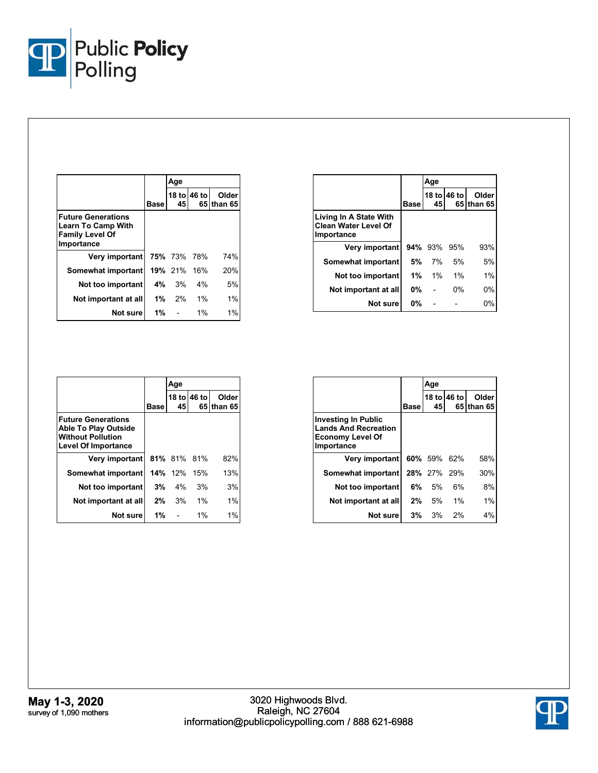

|                                                                                                |      | Age         |             |                     |
|------------------------------------------------------------------------------------------------|------|-------------|-------------|---------------------|
|                                                                                                | Base | 45          | 18 to 46 to | Older<br>65 than 65 |
| <b>Future Generations</b><br><b>Learn To Camp With</b><br><b>Family Level Of</b><br>Importance |      |             |             |                     |
| Very important                                                                                 |      | 75% 73% 78% |             | 74%                 |
| Somewhat important                                                                             |      | 19% 21% 16% |             | 20%                 |
| Not too important                                                                              |      | $4\%$ 3%    | 4%          | 5%                  |
| Not important at all                                                                           |      | $1\%$ 2%    | $1\%$       | $1\%$               |
| Not surel                                                                                      | 1%   |             | $1\%$       | $1\%$               |

|                                                                     |             | Age            |             |                     |
|---------------------------------------------------------------------|-------------|----------------|-------------|---------------------|
|                                                                     | <b>Base</b> | 45             | 18 to 46 to | Older<br>65 than 65 |
| Living In A State With<br><b>Clean Water Level Of</b><br>Importance |             |                |             |                     |
| Very important                                                      |             | <b>94%</b> 93% | 95%         | 93%                 |
| Somewhat important                                                  | 5% l        | 7%             | 5%          | 5%                  |
| Not too important                                                   | $1\%$       | $1\%$          | 1%          | 1%                  |
| Not important at all                                                | <b>0%</b>   |                | 0%          | 0%                  |
| Not sure                                                            | 0%          |                |             | 0%                  |

|                                                                                                                    |             | Age         |             |                     |
|--------------------------------------------------------------------------------------------------------------------|-------------|-------------|-------------|---------------------|
|                                                                                                                    | <b>Base</b> | 45          | 18 to 46 to | Older<br>65 than 65 |
| <b>Future Generations</b><br><b>Able To Play Outside</b><br><b>Without Pollution</b><br><b>Level Of Importance</b> |             |             |             |                     |
| Very important                                                                                                     |             | 81% 81% 81% |             | 82%                 |
| Somewhat important                                                                                                 |             | 14% 12%     | 15%         | 13%                 |
| Not too important                                                                                                  | 3%          | 4%          | 3%          | 3%                  |
| Not important at all                                                                                               | 2%          | 3%          | $1\%$       | $1\%$               |
| Not sure                                                                                                           | 1%          |             | $1\%$       | 1%                  |

|                                                                                                    |             | Age         |             |                     |
|----------------------------------------------------------------------------------------------------|-------------|-------------|-------------|---------------------|
|                                                                                                    | <b>Base</b> | 45          | 18 to 46 to | Older<br>65 than 65 |
| <b>Investing In Public</b><br><b>Lands And Recreation</b><br><b>Economy Level Of</b><br>Importance |             |             |             |                     |
| Very important                                                                                     |             | 60% 59% 62% |             | 58%                 |
| Somewhat important                                                                                 |             | 28% 27% 29% |             | 30%                 |
| Not too important                                                                                  |             | $6\%$ 5%    | 6%          | 8%                  |
| Not important at all                                                                               | $2\%$       | 5%          | 1%          | 1%                  |
| Not sure                                                                                           | $3\%$       | 3%          | 2%          | 4%                  |

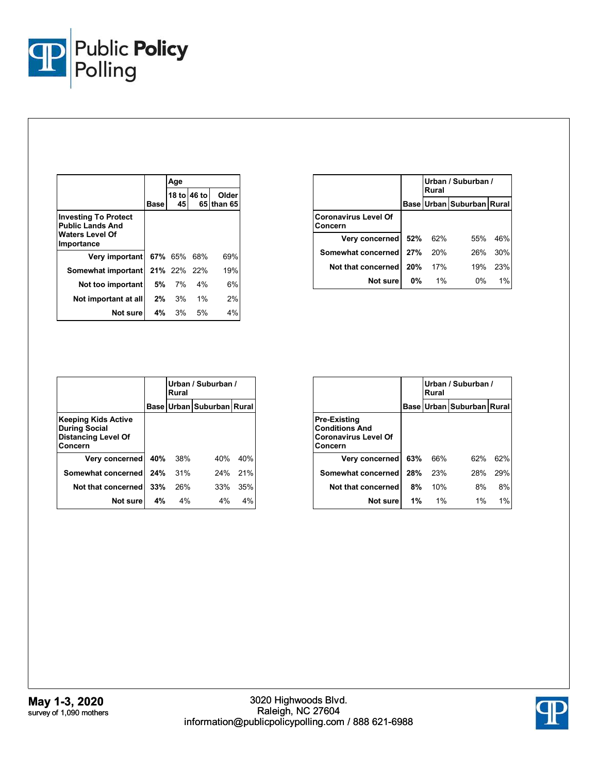

|                                                                                                |      | Age          |             |                     |
|------------------------------------------------------------------------------------------------|------|--------------|-------------|---------------------|
|                                                                                                | Base | 45           | 18 to 46 to | Older<br>65 than 65 |
| <b>Investing To Protect</b><br><b>Public Lands And</b><br><b>Waters Level Of</b><br>Importance |      |              |             |                     |
| Very important                                                                                 |      | 67% 65% 68%  |             | 69%                 |
| Somewhat important   21% 22% 22%                                                               |      |              |             | 19%                 |
| Not too important                                                                              | 5% o | 7%           | 4%          | 6%                  |
| Not important at all                                                                           |      | $2\%$ 3%     | $1\%$       | 2%                  |
| Not sure                                                                                       |      | <b>4%</b> 3% | 5%          | 4%                  |

|                                        |       | Urban / Suburban /<br>Rural |                                 |       |  |
|----------------------------------------|-------|-----------------------------|---------------------------------|-------|--|
|                                        |       |                             | Base   Urban   Suburban   Rural |       |  |
| <b>Coronavirus Level Of</b><br>Concern |       |                             |                                 |       |  |
| Very concerned                         | 52%   | 62%                         | 55%                             | 46%   |  |
| Somewhat concerned                     | 27%   | 20%                         | 26%                             | 30%   |  |
| Not that concerned                     | 20%   | 17%                         | 19%                             | 23%   |  |
| Not sure                               | $0\%$ | $1\%$                       | $0\%$                           | $1\%$ |  |

|                                                                                             |     | Urban / Suburban /<br>Rural |                           |     |
|---------------------------------------------------------------------------------------------|-----|-----------------------------|---------------------------|-----|
|                                                                                             |     |                             | Base Urban Suburban Rural |     |
| <b>Keeping Kids Active</b><br><b>During Social</b><br><b>Distancing Level Of</b><br>Concern |     |                             |                           |     |
| Very concerned                                                                              | 40% | 38%                         | 40%                       | 40% |
| Somewhat concerned                                                                          | 24% | 31%                         | 24%                       | 21% |
| Not that concerned                                                                          | 33% | 26%                         | 33%                       | 35% |
| Not sure                                                                                    | 4%  | 4%                          | $4\%$                     | 4%  |

|                                                                                        |     | Urban / Suburban /<br>Rural |                           |       |  |
|----------------------------------------------------------------------------------------|-----|-----------------------------|---------------------------|-------|--|
|                                                                                        |     |                             | Base Urban Suburban Rural |       |  |
| <b>Pre-Existing</b><br><b>Conditions And</b><br><b>Coronavirus Level Of</b><br>Concern |     |                             |                           |       |  |
| Very concerned                                                                         | 63% | 66%                         | 62%                       | 62%   |  |
| Somewhat concerned                                                                     | 28% | 23%                         | 28%                       | 29%   |  |
| Not that concerned                                                                     | 8%  | 10%                         | 8%                        | 8%    |  |
| Not sure                                                                               | 1%  | $1\%$                       | $1\%$                     | $1\%$ |  |

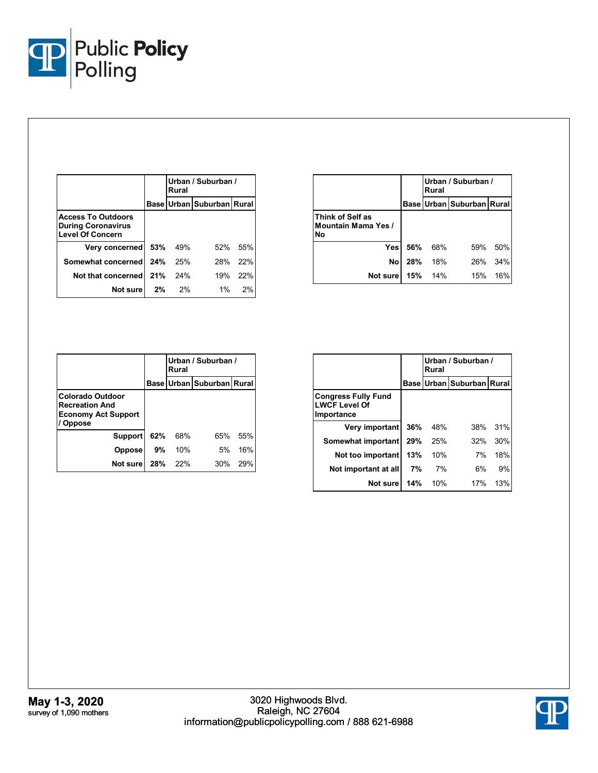

|                                                                                   |     | Urban / Suburban /<br>Rural |                           |      |
|-----------------------------------------------------------------------------------|-----|-----------------------------|---------------------------|------|
|                                                                                   |     |                             | Base Urban Suburban Rural |      |
| <b>Access To Outdoors</b><br><b>During Coronavirus</b><br><b>Level Of Concern</b> |     |                             |                           |      |
| Very concerned                                                                    | 53% | 49%                         | 52%                       | .55% |
| Somewhat concerned                                                                | 24% | 25%                         | 28%                       | 22%  |
| Not that concerned                                                                | 21% | 24%                         | 19%                       | 22%  |
| Not sure                                                                          | 2%  | 2%                          | $1\%$                     | 2%   |

|                                                      |     | Rural | Urban / Suburban /        |     |
|------------------------------------------------------|-----|-------|---------------------------|-----|
|                                                      |     |       | Base Urban Suburban Rural |     |
| Think of Self as<br><b>Mountain Mama Yes /</b><br>N٥ |     |       |                           |     |
| Yesl                                                 | 56% | 68%   | 59%                       | 50% |
| Nol                                                  | 28% | 18%   | 26%                       | 34% |
| Not sure                                             | 15% | 14%   | 15%                       | 16% |

|                                                                                                 |     | Urban / Suburban /<br>Rural |                           |     |
|-------------------------------------------------------------------------------------------------|-----|-----------------------------|---------------------------|-----|
|                                                                                                 |     |                             | Base Urban Suburban Rural |     |
| <b>Colorado Outdoor</b><br><b>Recreation And</b><br><b>Economy Act Support</b><br><b>Oppose</b> |     |                             |                           |     |
| <b>Support</b>                                                                                  | 62% | 68%                         | 65%                       | 55% |
| <b>Oppose</b>                                                                                   | 9%  | 10%                         | 5%                        | 16% |
| Not sure                                                                                        | 28% | 22%                         | 30%                       | 29% |

|                                                                  |     | Urban / Suburban /<br>Rural |                                 |     |
|------------------------------------------------------------------|-----|-----------------------------|---------------------------------|-----|
|                                                                  |     |                             | Base   Urban   Suburban   Rural |     |
| <b>Congress Fully Fund</b><br><b>LWCF Level Of</b><br>Importance |     |                             |                                 |     |
| Very important                                                   | 36% | 48%                         | 38%                             | 31% |
| Somewhat important                                               | 29% | 25%                         | 32%                             | 30% |
| Not too important                                                | 13% | 10%                         | 7%                              | 18% |
| Not important at all                                             | 7%  | 7%                          | 6%                              | 9%  |
| Not sure                                                         | 14% | 10%                         | 17%                             | 13% |

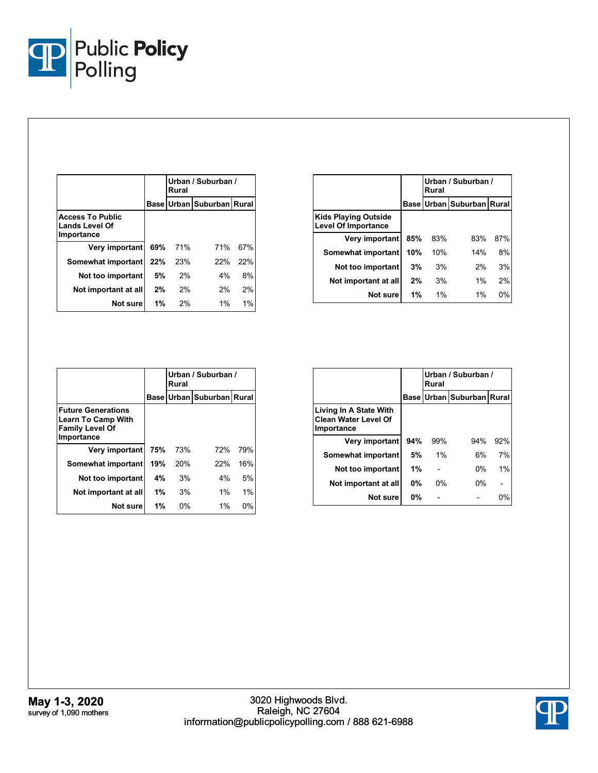

|                                                                |     | Urban / Suburban /<br>Rural |                               |     |
|----------------------------------------------------------------|-----|-----------------------------|-------------------------------|-----|
|                                                                |     |                             | Base Urban   Suburban   Rural |     |
| <b>Access To Public</b><br><b>Lands Level Of</b><br>Importance |     |                             |                               |     |
| Very important                                                 | 69% | 71%                         | 71%                           | 67% |
| Somewhat important                                             | 22% | 23%                         | 22%                           | 22% |
| Not too important                                              | 5%  | 2%                          | 4%                            | 8%  |
| Not important at all                                           | 2%  | 2%                          | 2%                            | 2%  |
| Not sure                                                       | 1%  | 2%                          | $1\%$                         | 1%  |

|                                                           |       | Urban / Suburban /<br>Rural |                                 |     |
|-----------------------------------------------------------|-------|-----------------------------|---------------------------------|-----|
|                                                           |       |                             | Base   Urban   Suburban   Rural |     |
| <b>Kids Playing Outside</b><br><b>Level Of Importance</b> |       |                             |                                 |     |
| Very important                                            | 85%   | 83%                         | 83%                             | 87% |
| Somewhat important                                        | 10%   | 10%                         | 14%                             | 8%  |
| Not too important                                         | 3%    | 3%                          | 2%                              | 3%  |
| Not important at all                                      | 2%    | 3%                          | 1%                              | 2%  |
| Not sure                                                  | $1\%$ | 1%                          | $1\%$                           | 0%  |

|                                                                                                |       | Urban / Suburban /<br>Rural |                           |       |
|------------------------------------------------------------------------------------------------|-------|-----------------------------|---------------------------|-------|
|                                                                                                |       |                             | Base Urban Suburban Rural |       |
| <b>Future Generations</b><br><b>Learn To Camp With</b><br><b>Family Level Of</b><br>Importance |       |                             |                           |       |
| Very important                                                                                 | 75%   | 73%                         | 72%                       | 79%   |
| Somewhat important                                                                             | 19%   | 20%                         | 22%                       | 16%   |
| Not too important                                                                              | 4%    | 3%                          | 4%                        | 5%    |
| Not important at all                                                                           | $1\%$ | 3%                          | $1\%$                     | 1%    |
| Not sure                                                                                       | 1%    | $0\%$                       | 1%                        | $0\%$ |

|                                                                     |           | Urban / Suburban /<br>Rural |                                 |     |
|---------------------------------------------------------------------|-----------|-----------------------------|---------------------------------|-----|
|                                                                     |           |                             | Base   Urban   Suburban   Rural |     |
| Living In A State With<br><b>Clean Water Level Of</b><br>Importance |           |                             |                                 |     |
| Very important                                                      | 94%       | 99%                         | 94%                             | 92% |
| Somewhat important                                                  | 5%        | 1%                          | 6%                              | 7%  |
| Not too important                                                   | 1%        |                             | $0\%$                           | 1%  |
| Not important at all                                                | <b>0%</b> | 0%                          | $0\%$                           |     |
| Not sure                                                            | <b>0%</b> |                             |                                 | 0%  |

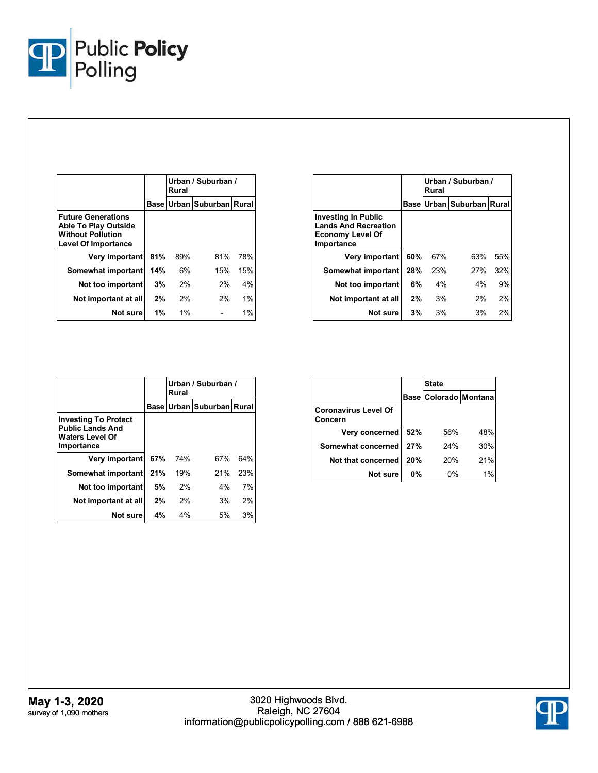

|                                                                                                                    |     | Urban / Suburban /<br>Rural |                           |       |
|--------------------------------------------------------------------------------------------------------------------|-----|-----------------------------|---------------------------|-------|
|                                                                                                                    |     |                             | Base Urban Suburban Rural |       |
| <b>Future Generations</b><br><b>Able To Play Outside</b><br><b>Without Pollution</b><br><b>Level Of Importance</b> |     |                             |                           |       |
| Very important                                                                                                     | 81% | 89%                         | 81%                       | 78%   |
| Somewhat important                                                                                                 | 14% | 6%                          | 15%                       | 15%   |
| Not too important                                                                                                  | 3%  | 2%                          | 2%                        | 4%    |
| Not important at all                                                                                               | 2%  | 2%                          | 2%                        | 1%    |
| Not sure                                                                                                           | 1%  | $1\%$                       |                           | $1\%$ |

|                                                                                             |     | Urban / Suburban /<br>Rural |                                 |     |
|---------------------------------------------------------------------------------------------|-----|-----------------------------|---------------------------------|-----|
|                                                                                             |     |                             | Base   Urban   Suburban   Rural |     |
| Investing In Public<br><b>Lands And Recreation</b><br><b>Economy Level Of</b><br>Importance |     |                             |                                 |     |
| Very important                                                                              | 60% | 67%                         | 63%                             | 55% |
| Somewhat important                                                                          | 28% | 23%                         | 27%                             | 32% |
| Not too important                                                                           | 6%  | 4%                          | 4%                              | 9%  |
| Not important at all                                                                        | 2%  | 3%                          | 2%                              | 2%  |
| Not sure                                                                                    | 3%  | 3%                          | 3%                              | 2%  |

|                                                                                                |     | Urban / Suburban /<br>Rural |                           |     |
|------------------------------------------------------------------------------------------------|-----|-----------------------------|---------------------------|-----|
|                                                                                                |     |                             | Base Urban Suburban Rural |     |
| <b>Investing To Protect</b><br><b>Public Lands And</b><br><b>Waters Level Of</b><br>Importance |     |                             |                           |     |
| Very important                                                                                 | 67% | 74%                         | 67%                       | 64% |
| Somewhat important                                                                             | 21% | 19%                         | 21%                       | 23% |
| Not too important                                                                              | 5%  | 2%                          | 4%                        | 7%  |
| Not important at all                                                                           | 2%  | 2%                          | 3%                        | 2%  |
| Not sure                                                                                       | 4%  | 4%                          | 5%                        | 3%  |

|                                        |     | <b>State</b>          |       |
|----------------------------------------|-----|-----------------------|-------|
|                                        |     | Base Colorado Montana |       |
| <b>Coronavirus Level Of</b><br>Concern |     |                       |       |
| Very concerned                         | 52% | 56%                   | 48%   |
| Somewhat concerned                     | 27% | 24%                   | 30%   |
| Not that concerned                     | 20% | 20%                   | 21%   |
| Not sure                               | 0%  | 0%                    | $1\%$ |

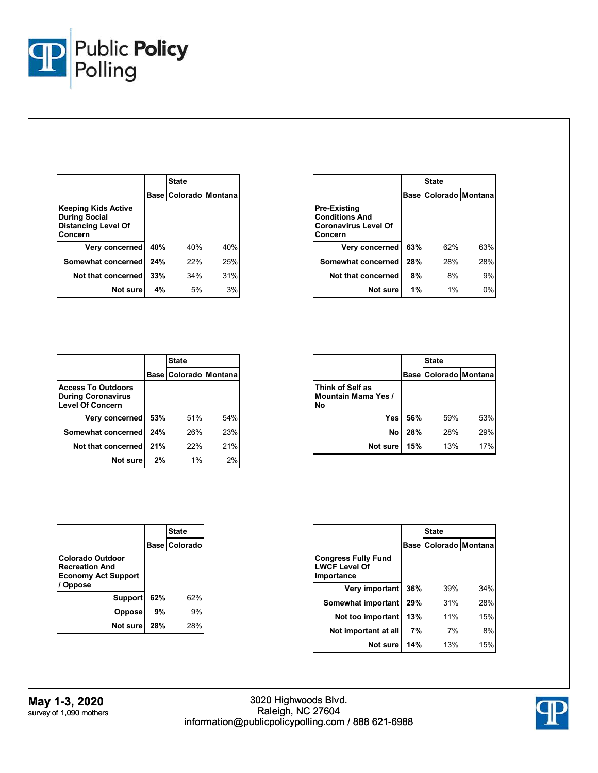

|                                                                                      |     | <b>State</b>          |     |
|--------------------------------------------------------------------------------------|-----|-----------------------|-----|
|                                                                                      |     | Base Colorado Montana |     |
| Keeping Kids Active<br><b>During Social</b><br><b>Distancing Level Of</b><br>Concern |     |                       |     |
| Very concerned                                                                       | 40% | 40%                   | 40% |
| Somewhat concerned                                                                   | 24% | 22%                   | 25% |
| Not that concerned                                                                   | 33% | 34%                   | 31% |
| Not sure                                                                             | 4%  | 5%                    | 3%  |

|                                                                                        |     | <b>State</b>              |     |  |
|----------------------------------------------------------------------------------------|-----|---------------------------|-----|--|
|                                                                                        |     | Base   Colorado   Montana |     |  |
| <b>Pre-Existing</b><br><b>Conditions And</b><br><b>Coronavirus Level Of</b><br>Concern |     |                           |     |  |
| Very concerned                                                                         | 63% | 62%                       | 63% |  |
| Somewhat concerned                                                                     | 28% | 28%                       | 28% |  |
| Not that concerned                                                                     | 8%  | 8%                        | 9%  |  |
| Not sure                                                                               | 1%  | 1%                        | 0%  |  |

|                                                                                   |     | <b>State</b>          |     |
|-----------------------------------------------------------------------------------|-----|-----------------------|-----|
|                                                                                   |     | Base Colorado Montana |     |
| <b>Access To Outdoors</b><br><b>During Coronavirus</b><br><b>Level Of Concern</b> |     |                       |     |
| Very concerned                                                                    | 53% | 51%                   | 54% |
| Somewhat concerned                                                                | 24% | 26%                   | 23% |
| Not that concerned                                                                | 21% | 22%                   | 21% |
| Not sure                                                                          | 2%  | $1\%$                 | 2%  |

|                                                      |     | <b>State</b>          |     |
|------------------------------------------------------|-----|-----------------------|-----|
|                                                      |     | Base Colorado Montana |     |
| Think of Self as<br><b>Mountain Mama Yes /</b><br>No |     |                       |     |
| Yesl                                                 | 56% | 59%                   | 53% |
| No                                                   | 28% | 28%                   | 29% |
| Not sure                                             | 15% | 13%                   | 17% |

|                                                                                                 |     | <b>State</b>         |
|-------------------------------------------------------------------------------------------------|-----|----------------------|
|                                                                                                 |     | <b>Base Colorado</b> |
| <b>Colorado Outdoor</b><br><b>Recreation And</b><br><b>Economy Act Support</b><br><b>Oppose</b> |     |                      |
| Support                                                                                         | 62% | 62%                  |
| <b>Oppose</b>                                                                                   | 9%  | 9%                   |
| Not sure                                                                                        | 28% | 28%                  |

|                                                                  |     | <b>State</b>              |     |  |
|------------------------------------------------------------------|-----|---------------------------|-----|--|
|                                                                  |     | Base   Colorado   Montana |     |  |
| <b>Congress Fully Fund</b><br><b>LWCF Level Of</b><br>Importance |     |                           |     |  |
| Very important                                                   | 36% | 39%                       | 34% |  |
| Somewhat important                                               | 29% | 31%                       | 28% |  |
| Not too important                                                | 13% | 11%                       | 15% |  |
| Not important at all                                             | 7%  | 7%                        | 8%  |  |
| Not sure                                                         | 14% | 13%                       | 15% |  |

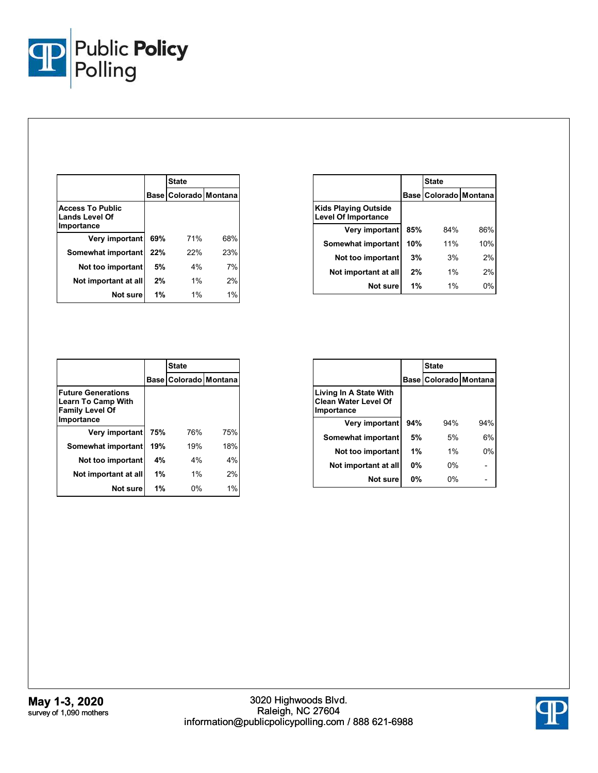

|                                                                |     | <b>State</b>          |     |  |
|----------------------------------------------------------------|-----|-----------------------|-----|--|
|                                                                |     | Base Colorado Montana |     |  |
| <b>Access To Public</b><br><b>Lands Level Of</b><br>Importance |     |                       |     |  |
| Very important                                                 | 69% | 71%                   | 68% |  |
| Somewhat important                                             | 22% | 22%                   | 23% |  |
| Not too important                                              | 5%  | 4%                    | 7%  |  |
| Not important at all                                           | 2%  | $1\%$                 | 2%  |  |
| Not sure                                                       | 1%  | $1\%$                 | 1%  |  |

|                                                           |     | <b>State</b>          |     |  |
|-----------------------------------------------------------|-----|-----------------------|-----|--|
|                                                           |     | Base Colorado Montana |     |  |
| <b>Kids Playing Outside</b><br><b>Level Of Importance</b> |     |                       |     |  |
| Very important                                            | 85% | 84%                   | 86% |  |
| Somewhat important                                        | 10% | 11%                   | 10% |  |
| Not too important                                         | 3%  | 3%                    | 2%  |  |
| Not important at all                                      | 2%  | $1\%$                 | 2%  |  |
| Not sure                                                  | 1%  | 1%                    | 0%  |  |

|                                                                                                |     | <b>State</b>          |     |  |
|------------------------------------------------------------------------------------------------|-----|-----------------------|-----|--|
|                                                                                                |     | Base Colorado Montana |     |  |
| <b>Future Generations</b><br><b>Learn To Camp With</b><br><b>Family Level Of</b><br>Importance |     |                       |     |  |
| Very important                                                                                 | 75% | 76%                   | 75% |  |
| Somewhat important                                                                             | 19% | 19%                   | 18% |  |
| Not too important                                                                              | 4%  | 4%                    | 4%  |  |
| Not important at all                                                                           | 1%  | 1%                    | 2%  |  |
| Not sure                                                                                       | 1%  | $0\%$                 | 1%  |  |

|                                                                     |     | <b>State</b>              |       |  |
|---------------------------------------------------------------------|-----|---------------------------|-------|--|
|                                                                     |     | Base   Colorado   Montana |       |  |
| Living In A State With<br><b>Clean Water Level Of</b><br>Importance |     |                           |       |  |
| Very important                                                      | 94% | 94%                       | 94%   |  |
| Somewhat important                                                  | 5%  | 5%                        | 6%    |  |
| Not too important                                                   | 1%  | 1%                        | $0\%$ |  |
| Not important at all                                                | 0%  | 0%                        |       |  |
| Not sure                                                            | 0%  | 0%                        |       |  |

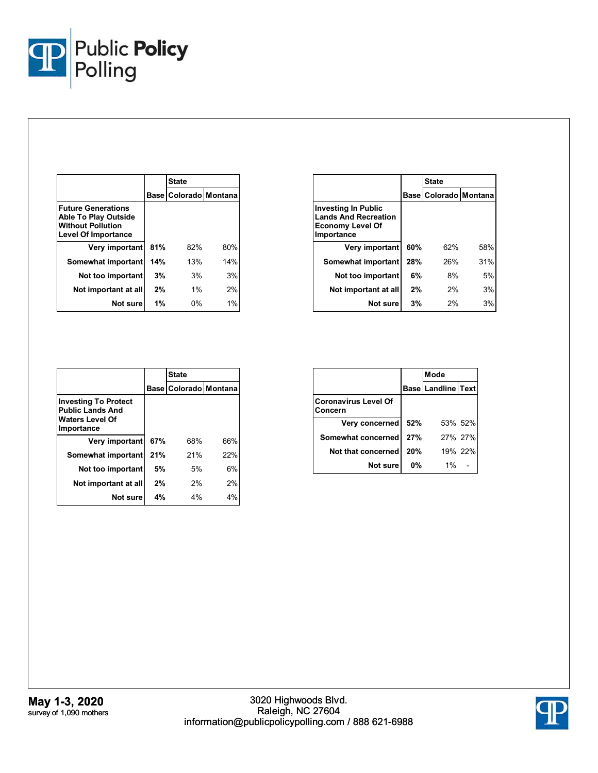

|                                                                                                                    |     | <b>State</b>              |     |
|--------------------------------------------------------------------------------------------------------------------|-----|---------------------------|-----|
|                                                                                                                    |     | Base   Colorado   Montana |     |
| <b>Future Generations</b><br><b>Able To Play Outside</b><br><b>Without Pollution</b><br><b>Level Of Importance</b> |     |                           |     |
| Very important                                                                                                     | 81% | 82%                       | 80% |
| Somewhat important                                                                                                 | 14% | 13%                       | 14% |
| Not too important                                                                                                  | 3%  | 3%                        | 3%  |
| Not important at all                                                                                               | 2%  | $1\%$                     | 2%  |
| Not sure                                                                                                           | 1%  | 0%                        | 1%  |

|                                                                                                    |     | <b>State</b>              |     |  |
|----------------------------------------------------------------------------------------------------|-----|---------------------------|-----|--|
|                                                                                                    |     | Base   Colorado   Montana |     |  |
| <b>Investing In Public</b><br><b>Lands And Recreation</b><br><b>Economy Level Of</b><br>Importance |     |                           |     |  |
| Very important                                                                                     | 60% | 62%                       | 58% |  |
| Somewhat important                                                                                 | 28% | 26%                       | 31% |  |
| Not too important                                                                                  | 6%  | 8%                        | 5%  |  |
| Not important at all                                                                               | 2%  | 2%                        | 3%  |  |
| Not sure                                                                                           | 3%  | 2%                        | 3%  |  |

|                                                                                                |     | <b>State</b>          |     |  |
|------------------------------------------------------------------------------------------------|-----|-----------------------|-----|--|
|                                                                                                |     | Base Colorado Montana |     |  |
| <b>Investing To Protect</b><br><b>Public Lands And</b><br><b>Waters Level Of</b><br>Importance |     |                       |     |  |
| Very important                                                                                 | 67% | 68%                   | 66% |  |
| Somewhat important                                                                             | 21% | 21%                   | 22% |  |
| Not too important                                                                              | 5%  | 5%                    | 6%  |  |
| Not important at all                                                                           | 2%  | 2%                    | 2%  |  |
| Not sure                                                                                       | 4%  | 4%                    | 4%  |  |

|                                        |     | Mode                      |         |  |
|----------------------------------------|-----|---------------------------|---------|--|
|                                        |     | <b>Base Landline Text</b> |         |  |
| <b>Coronavirus Level Of</b><br>Concern |     |                           |         |  |
| Very concerned                         | 52% |                           | 53% 52% |  |
| Somewhat concerned                     | 27% |                           | 27% 27% |  |
| Not that concerned                     | 20% |                           | 19% 22% |  |
| Not sure                               | 0%  | 1%                        |         |  |

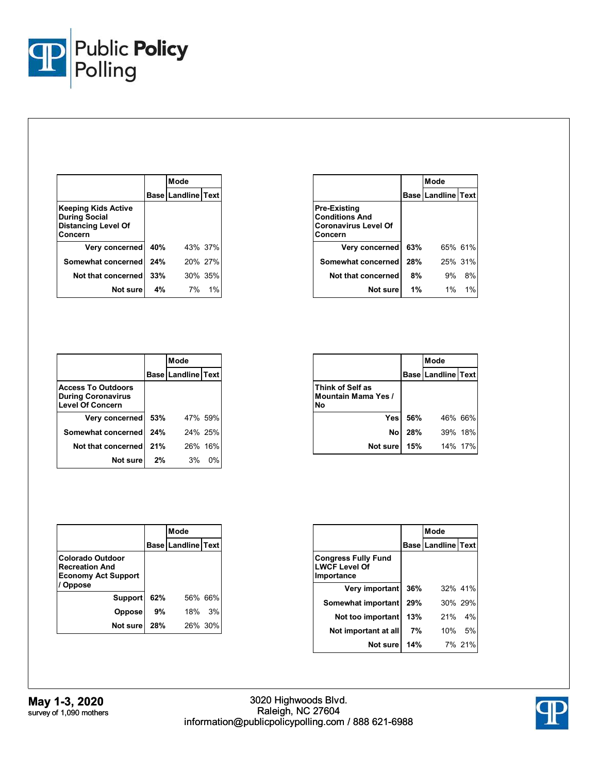

|                                                                                      |     | Mode                      |         |
|--------------------------------------------------------------------------------------|-----|---------------------------|---------|
|                                                                                      |     | <b>Base Landline Text</b> |         |
| Keeping Kids Active<br><b>During Social</b><br><b>Distancing Level Of</b><br>Concern |     |                           |         |
| Very concerned                                                                       | 40% |                           | 43% 37% |
| Somewhat concerned                                                                   | 24% |                           | 20% 27% |
| Not that concerned                                                                   | 33% |                           | 30% 35% |
| Not sure                                                                             | 4%  |                           | 7% 1%   |

|                                                                                        |     | Mode                      |         |
|----------------------------------------------------------------------------------------|-----|---------------------------|---------|
|                                                                                        |     | <b>Base Landline Text</b> |         |
| <b>Pre-Existing</b><br><b>Conditions And</b><br><b>Coronavirus Level Of</b><br>Concern |     |                           |         |
| <b>Very concerned</b>                                                                  | 63% |                           | 65% 61% |
| Somewhat concerned                                                                     | 28% |                           | 25% 31% |
| Not that concerned                                                                     | 8%  | 9%                        | 8%      |
| Not sure                                                                               | 1%  | 1%                        | $1\%$   |

|                                                                                   |     | Mode                      |         |
|-----------------------------------------------------------------------------------|-----|---------------------------|---------|
|                                                                                   |     | <b>Base Landline Text</b> |         |
| <b>Access To Outdoors</b><br><b>During Coronavirus</b><br><b>Level Of Concern</b> |     |                           |         |
| Very concerned                                                                    | 53% |                           | 47% 59% |
| Somewhat concerned                                                                | 24% |                           | 24% 25% |
| Not that concerned                                                                | 21% |                           | 26% 16% |
| Not sure                                                                          | 2%  | 3%                        | $0\%$   |

|                                               |                | Mode                   |         |  |
|-----------------------------------------------|----------------|------------------------|---------|--|
|                                               |                | Base   Landline   Text |         |  |
| Think of Self as<br>Mountain Mama Yes /<br>N٥ |                |                        |         |  |
|                                               | <b>Yes</b> 56% |                        | 46% 66% |  |
| <b>No</b>                                     | 28%            |                        | 39% 18% |  |
| Not sure                                      | 15%            |                        | 14% 17% |  |

|                                                                                          |     | Mode                      |         |  |
|------------------------------------------------------------------------------------------|-----|---------------------------|---------|--|
|                                                                                          |     | <b>Base Landline Text</b> |         |  |
| Colorado Outdoor<br><b>Recreation And</b><br><b>Economy Act Support</b><br><b>Oppose</b> |     |                           |         |  |
| Support                                                                                  | 62% |                           | 56% 66% |  |
| <b>Oppose</b>                                                                            | 9%  | 18%                       | 3%      |  |
| Not sure                                                                                 | 28% |                           | 26% 30% |  |

|                                                                  |     | Mode                      |         |  |
|------------------------------------------------------------------|-----|---------------------------|---------|--|
|                                                                  |     | <b>Base Landline Text</b> |         |  |
| <b>Congress Fully Fund</b><br><b>LWCF Level Of</b><br>Importance |     |                           |         |  |
| Very important                                                   | 36% |                           | 32% 41% |  |
| Somewhat important                                               | 29% |                           | 30% 29% |  |
| Not too important                                                | 13% |                           | 21% 4%  |  |
| Not important at all                                             | 7%  |                           | 10% 5%  |  |
| Not sure                                                         | 14% |                           | 7% 21%  |  |

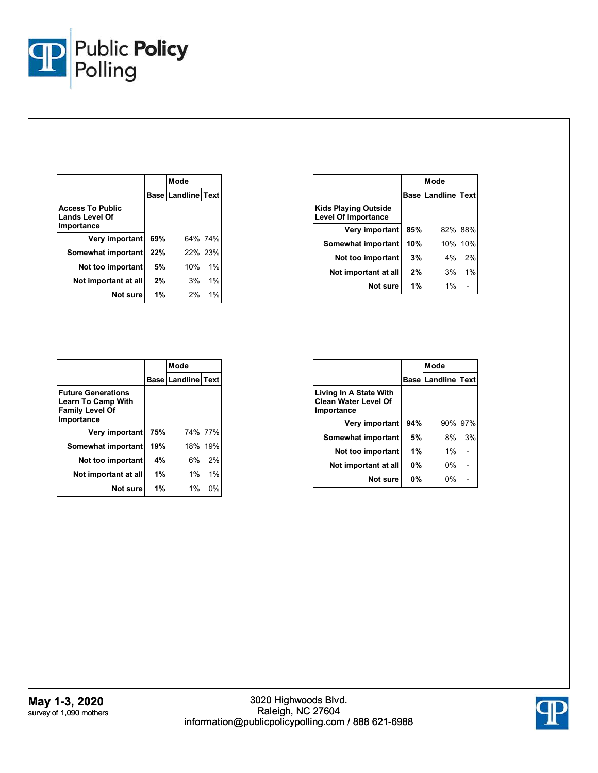

|                                                                |     | Mode                      |         |  |
|----------------------------------------------------------------|-----|---------------------------|---------|--|
|                                                                |     | <b>Base Landline Text</b> |         |  |
| <b>Access To Public</b><br><b>Lands Level Of</b><br>Importance |     |                           |         |  |
| Very important                                                 | 69% |                           | 64% 74% |  |
| Somewhat important                                             | 22% |                           | 22% 23% |  |
| Not too important                                              | 5%  | 10%                       | 1%      |  |
| Not important at all                                           | 2%  | 3%                        | 1%      |  |
| Not sure                                                       | 1%  | 2%                        | 1%      |  |

|                                                           |     | Mode                      |         |
|-----------------------------------------------------------|-----|---------------------------|---------|
|                                                           |     | <b>Base Landline Text</b> |         |
| <b>Kids Playing Outside</b><br><b>Level Of Importance</b> |     |                           |         |
| Very important                                            | 85% |                           | 82% 88% |
| Somewhat important                                        | 10% |                           | 10% 10% |
| Not too important                                         | 3%  | 4%                        | 2%      |
| Not important at all                                      | 2%  | 3%                        | 1%      |
| Not sure                                                  | 1%  | $1\%$                     |         |

|                                                                                                |     | Mode                      |         |
|------------------------------------------------------------------------------------------------|-----|---------------------------|---------|
|                                                                                                |     | <b>Base Landline Text</b> |         |
| <b>Future Generations</b><br><b>Learn To Camp With</b><br><b>Family Level Of</b><br>Importance |     |                           |         |
| Very important                                                                                 | 75% |                           | 74% 77% |
| Somewhat important                                                                             | 19% |                           | 18% 19% |
| Not too important                                                                              | 4%  | 6%                        | 2%      |
| Not important at all                                                                           | 1%  | 1%                        | 1%      |
| Not sure                                                                                       | 1%  | $1\%$                     | 0%      |

|                                                                     |       | Mode                      |         |  |
|---------------------------------------------------------------------|-------|---------------------------|---------|--|
|                                                                     |       | <b>Base Landline Text</b> |         |  |
| Living In A State With<br><b>Clean Water Level Of</b><br>Importance |       |                           |         |  |
| Very important                                                      | 94%   |                           | 90% 97% |  |
| Somewhat important                                                  | 5%    | 8%                        | 3%      |  |
| Not too important                                                   | $1\%$ | $1\%$                     |         |  |
| Not important at all                                                | 0%    | 0%                        |         |  |
| Not sure                                                            | 0%    | 0%                        |         |  |

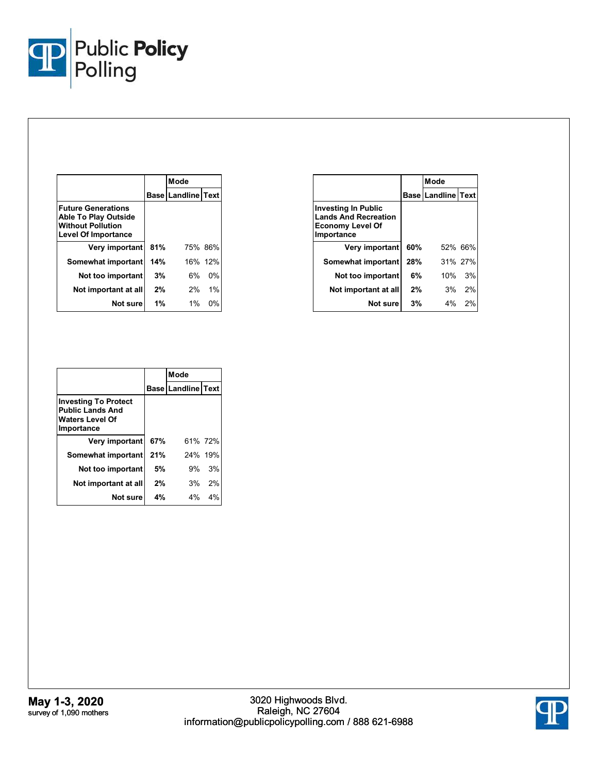

|                                                                                                                    |     | Mode                      |         |
|--------------------------------------------------------------------------------------------------------------------|-----|---------------------------|---------|
|                                                                                                                    |     | <b>Base Landline Text</b> |         |
| <b>Future Generations</b><br><b>Able To Play Outside</b><br><b>Without Pollution</b><br><b>Level Of Importance</b> |     |                           |         |
| Very important                                                                                                     | 81% | 75% 86%                   |         |
| Somewhat important                                                                                                 | 14% |                           | 16% 12% |
| Not too important                                                                                                  | 3%  | 6%                        | 0%      |
| Not important at all                                                                                               | 2%  | 2%                        | 1%      |
| Not sure                                                                                                           | 1%  | $1\%$                     | 0%      |

|                                                                                                    |     | Mode                      |         |
|----------------------------------------------------------------------------------------------------|-----|---------------------------|---------|
|                                                                                                    |     | <b>Base Landline Text</b> |         |
| <b>Investing In Public</b><br><b>Lands And Recreation</b><br><b>Economy Level Of</b><br>Importance |     |                           |         |
| Very important                                                                                     | 60% |                           | 52% 66% |
| Somewhat important                                                                                 | 28% |                           | 31% 27% |
| Not too important                                                                                  | 6%  |                           | 10% 3%  |
| Not important at all                                                                               | 2%  | 3%                        | 2%      |
| Not sure                                                                                           | 3%  |                           | 4% 2%   |

|                                                                                                |     | Mode                   |         |
|------------------------------------------------------------------------------------------------|-----|------------------------|---------|
|                                                                                                |     | Base   Landline   Text |         |
| <b>Investing To Protect</b><br><b>Public Lands And</b><br><b>Waters Level Of</b><br>Importance |     |                        |         |
| Very important                                                                                 | 67% |                        | 61% 72% |
| Somewhat important                                                                             | 21% |                        | 24% 19% |
| Not too important                                                                              | 5%  | 9%                     | 3%      |
| Not important at all                                                                           | 2%  | 3%                     | 2%      |
| Not sure                                                                                       | 4%  | 4%                     | 4%      |

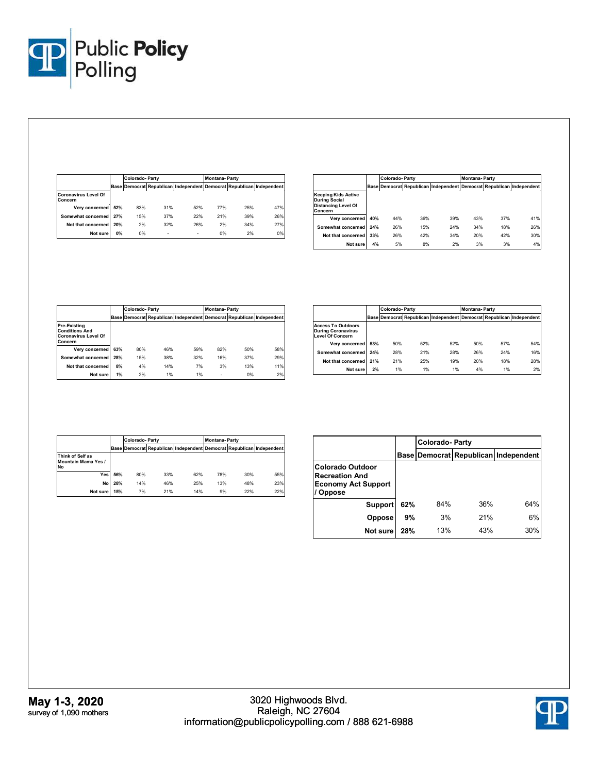

|                                        |     | Colorado-Party |     |                                                                      | <b>Montana-Party</b> |     |       |
|----------------------------------------|-----|----------------|-----|----------------------------------------------------------------------|----------------------|-----|-------|
|                                        |     |                |     | Base Democrat Republican Independent Democrat Republican Independent |                      |     |       |
| <b>Coronavirus Level Of</b><br>Concern |     |                |     |                                                                      |                      |     |       |
| Very concerned                         | 52% | 83%            | 31% | 52%                                                                  | 77%                  | 25% | 47%   |
| Somewhat concerned                     | 27% | 15%            | 37% | 22%                                                                  | 21%                  | 39% | 26%   |
| Not that concerned                     | 20% | 2%             | 32% | 26%                                                                  | 2%                   | 34% | 27%   |
| Not sure                               | 0%  | 0%             | ۰   | ۰                                                                    | 0%                   | 2%  | $0\%$ |

|                                                                                             |     | <b>Colorado-Party</b> |     |                                                                      | <b>Montana-Party</b> |     |     |
|---------------------------------------------------------------------------------------------|-----|-----------------------|-----|----------------------------------------------------------------------|----------------------|-----|-----|
|                                                                                             |     |                       |     | Base Democrat Republican Independent Democrat Republican Independent |                      |     |     |
| <b>Keeping Kids Active</b><br><b>During Social</b><br><b>Distancing Level Of</b><br>Concern |     |                       |     |                                                                      |                      |     |     |
| Very concerned                                                                              | 40% | 44%                   | 36% | 39%                                                                  | 43%                  | 37% | 41% |
| Somewhat concerned                                                                          | 24% | 26%                   | 15% | 24%                                                                  | 34%                  | 18% | 26% |
| Not that concerned                                                                          | 33% | 26%                   | 42% | 34%                                                                  | 20%                  | 42% | 30% |
| Not sure                                                                                    | 4%  | 5%                    | 8%  | 2%                                                                   | 3%                   | 3%  | 4%  |

|                                                                                 |     | Colorado-Party |     |                                                                      | <b>Montana-Party</b> |     |     |
|---------------------------------------------------------------------------------|-----|----------------|-----|----------------------------------------------------------------------|----------------------|-----|-----|
|                                                                                 |     |                |     | Base Democrat Republican Independent Democrat Republican Independent |                      |     |     |
| Pre-Existing<br><b>Conditions And</b><br><b>Coronavirus Level Of</b><br>Concern |     |                |     |                                                                      |                      |     |     |
| Very concerned                                                                  | 63% | 80%            | 46% | 59%                                                                  | 82%                  | 50% | 58% |
| Somewhat concerned                                                              | 28% | 15%            | 38% | 32%                                                                  | 16%                  | 37% | 29% |
| Not that concerned                                                              | 8%  | 4%             | 14% | 7%                                                                   | 3%                   | 13% | 11% |
| Not sure                                                                        | 1%  | 2%             | 1%  | 1%                                                                   | ۰                    | 0%  | 2%  |

|                                                                                   |     |     | <b>Colorado-Party</b> |     |     | <b>Montana-Party</b> |                                                                      |  |
|-----------------------------------------------------------------------------------|-----|-----|-----------------------|-----|-----|----------------------|----------------------------------------------------------------------|--|
|                                                                                   |     |     |                       |     |     |                      | Base Democrat Republican Independent Democrat Republican Independent |  |
| <b>Access To Outdoors</b><br><b>During Coronavirus</b><br><b>Level Of Concern</b> |     |     |                       |     |     |                      |                                                                      |  |
| Verv concerned                                                                    | 53% | 50% | 52%                   | 52% | 50% | 57%                  | 54%                                                                  |  |
| Somewhat concerned                                                                | 24% | 28% | 21%                   | 28% | 26% | 24%                  | 16%                                                                  |  |
| Not that concerned                                                                | 21% | 21% | 25%                   | 19% | 20% | 18%                  | 28%                                                                  |  |
| Not sure                                                                          | 2%  | 1%  | 1%                    | 1%  | 4%  | 1%                   | 2%                                                                   |  |

|                                                      |     | <b>Colorado-Party</b> |     |     | <b>Montana-Party</b> |     |                                                                      |
|------------------------------------------------------|-----|-----------------------|-----|-----|----------------------|-----|----------------------------------------------------------------------|
|                                                      |     |                       |     |     |                      |     | Base Democrat Republican Independent Democrat Republican Independent |
| Think of Self as<br><b>Mountain Mama Yes /</b><br>No |     |                       |     |     |                      |     |                                                                      |
| Yes                                                  | 56% | 80%                   | 33% | 62% | 78%                  | 30% | 55%                                                                  |
| No                                                   | 28% | 14%                   | 46% | 25% | 13%                  | 48% | 23%                                                                  |
| Not sure                                             | 15% | 7%                    | 21% | 14% | 9%                   | 22% | 22%                                                                  |

|                                                                                   |     | Colorado-Party |     |                                      |  |  |  |  |
|-----------------------------------------------------------------------------------|-----|----------------|-----|--------------------------------------|--|--|--|--|
|                                                                                   |     |                |     | Base Democrat Republican Independent |  |  |  |  |
| Colorado Outdoor<br><b>Recreation And</b><br><b>Economy Act Support</b><br>Oppose |     |                |     |                                      |  |  |  |  |
| <b>Support</b>                                                                    | 62% | 84%            | 36% | 64%                                  |  |  |  |  |
| Oppose                                                                            | 9%  | 3%             | 21% | 6%                                   |  |  |  |  |
| Not sure                                                                          | 28% | 13%            | 43% | 30%                                  |  |  |  |  |

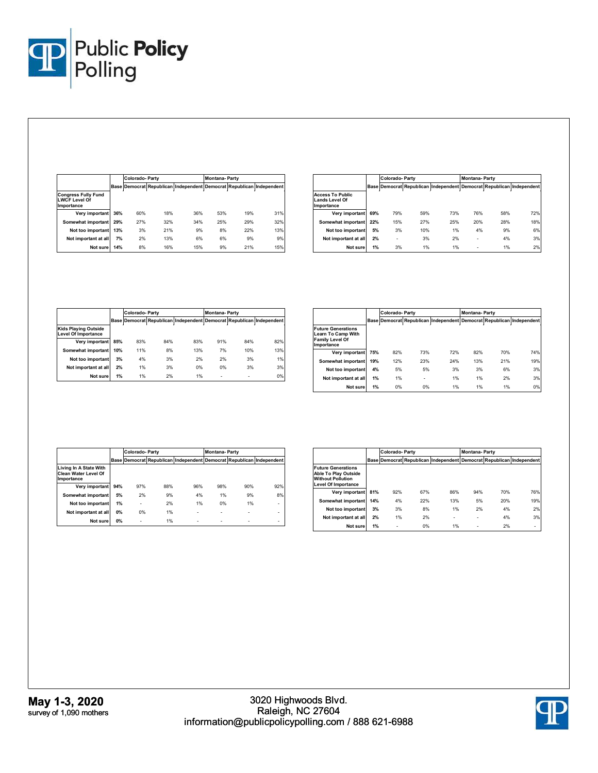

|                                                                  |     |     | Colorado-Party |                                                                      |     | <b>Montana-Party</b> |     |  |
|------------------------------------------------------------------|-----|-----|----------------|----------------------------------------------------------------------|-----|----------------------|-----|--|
|                                                                  |     |     |                | Base Democrat Republican Independent Democrat Republican Independent |     |                      |     |  |
| <b>Congress Fully Fund</b><br><b>LWCF Level Of</b><br>Importance |     |     |                |                                                                      |     |                      |     |  |
| Very important                                                   | 36% | 60% | 18%            | 36%                                                                  | 53% | 19%                  | 31% |  |
| Somewhat important                                               | 29% | 27% | 32%            | 34%                                                                  | 25% | 29%                  | 32% |  |
| Not too important                                                | 13% | 3%  | 21%            | 9%                                                                   | 8%  | 22%                  | 13% |  |
| Not important at all                                             | 7%  | 2%  | 13%            | 6%                                                                   | 6%  | 9%                   | 9%  |  |
| Not sure                                                         | 14% | 8%  | 16%            | 15%                                                                  | 9%  | 21%                  | 15% |  |

|                                                                |     |     | <b>Colorado-Party</b> |                                                                      |     | <b>Montana-Party</b> |     |  |
|----------------------------------------------------------------|-----|-----|-----------------------|----------------------------------------------------------------------|-----|----------------------|-----|--|
|                                                                |     |     |                       | Base Democrat Republican Independent Democrat Republican Independent |     |                      |     |  |
| <b>Access To Public</b><br><b>Lands Level Of</b><br>Importance |     |     |                       |                                                                      |     |                      |     |  |
| Very important                                                 | 69% | 79% | 59%                   | 73%                                                                  | 76% | 58%                  | 72% |  |
| Somewhat important                                             | 22% | 15% | 27%                   | 25%                                                                  | 20% | 28%                  | 18% |  |
| Not too important                                              | 5%  | 3%  | 10%                   | 1%                                                                   | 4%  | 9%                   | 6%  |  |
| Not important at all                                           | 2%  | ٠   | 3%                    | 2%                                                                   | ٠   | 4%                   | 3%  |  |
| Not sure                                                       | 1%  | 3%  | 1%                    | 1%                                                                   | ٠   | 1%                   | 2%  |  |

|                                                           |     | Colorado-Party |     |                                                                      | <b>Montana-Party</b> |     |     |  |
|-----------------------------------------------------------|-----|----------------|-----|----------------------------------------------------------------------|----------------------|-----|-----|--|
|                                                           |     |                |     | Base Democrat Republican Independent Democrat Republican Independent |                      |     |     |  |
| <b>Kids Playing Outside</b><br><b>Level Of Importance</b> |     |                |     |                                                                      |                      |     |     |  |
| Very important                                            | 85% | 83%            | 84% | 83%                                                                  | 91%                  | 84% | 82% |  |
| Somewhat important                                        | 10% | 11%            | 8%  | 13%                                                                  | 7%                   | 10% | 13% |  |
| Not too important                                         | 3%  | 4%             | 3%  | 2%                                                                   | 2%                   | 3%  | 1%  |  |
| Not important at all                                      | 2%  | 1%             | 3%  | 0%                                                                   | 0%                   | 3%  | 3%  |  |
| Not sure                                                  | 1%  | 1%             | 2%  | 1%                                                                   | ٠                    | ۰   | 0%  |  |

|                                                                                                |     | Colorado-Party |     |     | <b>Montana-Party</b> |     |                                                                      |
|------------------------------------------------------------------------------------------------|-----|----------------|-----|-----|----------------------|-----|----------------------------------------------------------------------|
|                                                                                                |     |                |     |     |                      |     | Base Democrat Republican Independent Democrat Republican Independent |
| <b>Future Generations</b><br><b>Learn To Camp With</b><br><b>Family Level Of</b><br>Importance |     |                |     |     |                      |     |                                                                      |
| Very important                                                                                 | 75% | 82%            | 73% | 72% | 82%                  | 70% | 74%                                                                  |
| Somewhat important                                                                             | 19% | 12%            | 23% | 24% | 13%                  | 21% | 19%                                                                  |
| Not too important                                                                              | 4%  | 5%             | 5%  | 3%  | 3%                   | 6%  | 3%                                                                   |
| Not important at all                                                                           | 1%  | 1%             | ٠   | 1%  | 1%                   | 2%  | 3%                                                                   |
| Not sure                                                                                       | 1%  | 0%             | 0%  | 1%  | 1%                   | 1%  | 0%                                                                   |

|                                                              |     | <b>Colorado-Party</b> |     |                                                                      | <b>Montana-Party</b> |     |     |
|--------------------------------------------------------------|-----|-----------------------|-----|----------------------------------------------------------------------|----------------------|-----|-----|
|                                                              |     |                       |     | Base Democrat Republican Independent Democrat Republican Independent |                      |     |     |
| Living In A State With<br>Clean Water Level Of<br>Importance |     |                       |     |                                                                      |                      |     |     |
| Very important                                               | 94% | 97%                   | 88% | 96%                                                                  | 98%                  | 90% | 92% |
| Somewhat important                                           | 5%  | 2%                    | 9%  | 4%                                                                   | 1%                   | 9%  | 8%  |
| Not too important                                            | 1%  | ٠                     | 2%  | 1%                                                                   | 0%                   | 1%  | ۰   |
| Not important at all                                         | 0%  | 0%                    | 1%  | -                                                                    | ٠                    | ۰   |     |
| Not sure                                                     | 0%  | ٠                     | 1%  | -                                                                    | ٠                    | ٠   |     |

|                                                                                                                    |     | <b>Colorado-Party</b> |     |                              | <b>Montana-Party</b> |     |                                                                      |
|--------------------------------------------------------------------------------------------------------------------|-----|-----------------------|-----|------------------------------|----------------------|-----|----------------------------------------------------------------------|
|                                                                                                                    |     |                       |     |                              |                      |     | Base Democrat Republican Independent Democrat Republican Independent |
| <b>Future Generations</b><br><b>Able To Play Outside</b><br><b>Without Pollution</b><br><b>Level Of Importance</b> |     |                       |     |                              |                      |     |                                                                      |
| Verv important                                                                                                     | 81% | 92%                   | 67% | 86%                          | 94%                  | 70% | 76%                                                                  |
| Somewhat important                                                                                                 | 14% | 4%                    | 22% | 13%                          | 5%                   | 20% | 19%                                                                  |
| Not too important                                                                                                  | 3%  | 3%                    | 8%  | 1%                           | 2%                   | 4%  | 2%                                                                   |
| Not important at all                                                                                               | 2%  | 1%                    | 2%  | $\qquad \qquad \blacksquare$ | ۰                    | 4%  | 3%                                                                   |
| Not sure                                                                                                           | 1%  | ٠                     | 0%  | 1%                           | ۰                    | 2%  | ٠                                                                    |

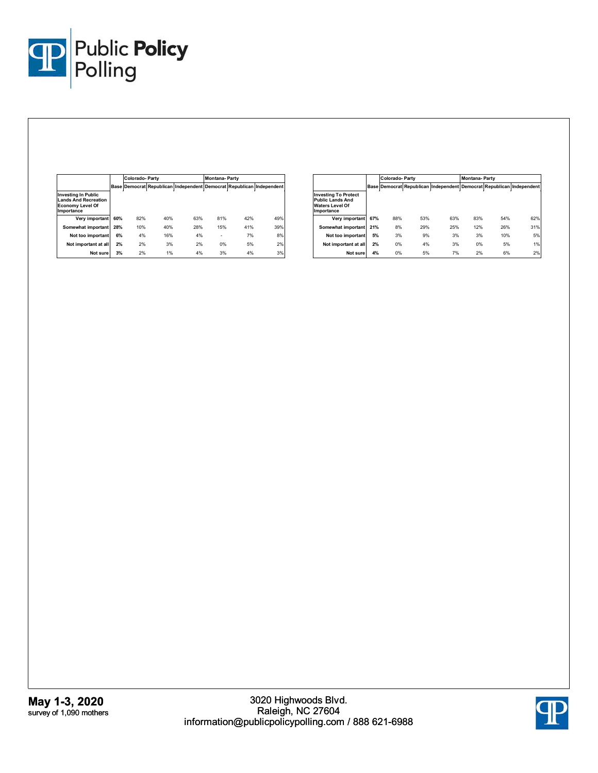

|                                                                                                    |     | <b>Colorado-Party</b> |     |                                                                      | <b>Montana-Party</b> |     |     |
|----------------------------------------------------------------------------------------------------|-----|-----------------------|-----|----------------------------------------------------------------------|----------------------|-----|-----|
|                                                                                                    |     |                       |     | Base Democrat Republican Independent Democrat Republican Independent |                      |     |     |
| <b>Investing In Public</b><br><b>Lands And Recreation</b><br><b>Economy Level Of</b><br>Importance |     |                       |     |                                                                      |                      |     |     |
| Very important                                                                                     | 60% | 82%                   | 40% | 63%                                                                  | 81%                  | 42% | 49% |
| Somewhat important                                                                                 | 28% | 10%                   | 40% | 28%                                                                  | 15%                  | 41% | 39% |
| Not too important                                                                                  | 6%  | 4%                    | 16% | 4%                                                                   | ۰                    | 7%  | 8%  |
| Not important at all                                                                               | 2%  | 2%                    | 3%  | 2%                                                                   | 0%                   | 5%  | 2%  |
| Not sure                                                                                           | 3%  | 2%                    | 1%  | 4%                                                                   | 3%                   | 4%  | 3%  |

|                                                                                                |     | Colorado-Party |     |     | <b>Montana-Party</b> |     |                                                                      |
|------------------------------------------------------------------------------------------------|-----|----------------|-----|-----|----------------------|-----|----------------------------------------------------------------------|
|                                                                                                |     |                |     |     |                      |     | Base Democrat Republican Independent Democrat Republican Independent |
| <b>Investing To Protect</b><br><b>Public Lands And</b><br><b>Waters Level Of</b><br>Importance |     |                |     |     |                      |     |                                                                      |
| Very important                                                                                 | 67% | 88%            | 53% | 63% | 83%                  | 54% | 62%                                                                  |
| Somewhat important                                                                             | 21% | 8%             | 29% | 25% | 12%                  | 26% | 31%                                                                  |
| Not too important                                                                              | 5%  | 3%             | 9%  | 3%  | 3%                   | 10% | 5%                                                                   |
| Not important at all                                                                           | 2%  | 0%             | 4%  | 3%  | 0%                   | 5%  | 1%                                                                   |
| Not sure                                                                                       | 4%  | 0%             | 5%  | 7%  | 2%                   | 6%  | 2%                                                                   |

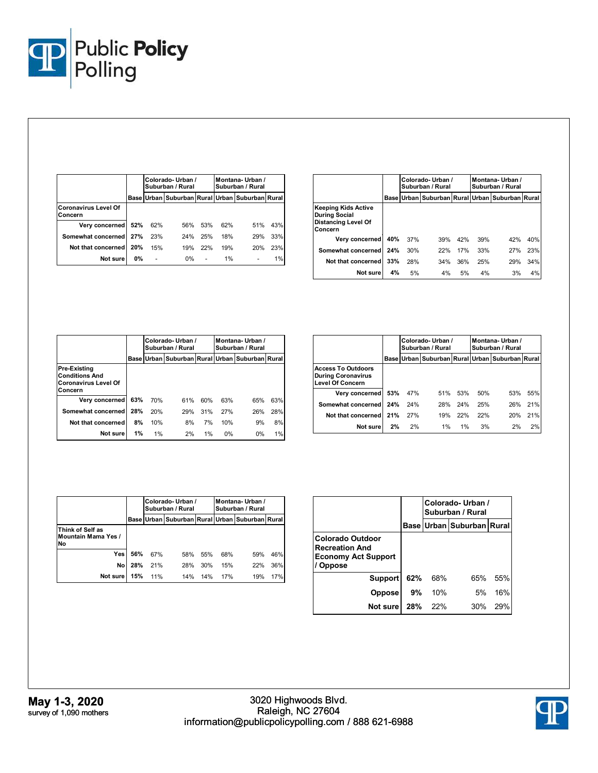

|                                        |     |     | Colorado-Urban /<br>Suburban / Rural           |     | Montana-Urban /<br>Suburban / Rural |     |     |
|----------------------------------------|-----|-----|------------------------------------------------|-----|-------------------------------------|-----|-----|
|                                        |     |     | Base Urban Suburban Rural Urban Suburban Rural |     |                                     |     |     |
| <b>Coronavirus Level Of</b><br>Concern |     |     |                                                |     |                                     |     |     |
| Very concerned                         | 52% | 62% | 56%                                            | 53% | 62%                                 | 51% | 43% |
| Somewhat concerned                     | 27% | 23% | 24%                                            | 25% | 18%                                 | 29% | 33% |
| Not that concerned                     | 20% | 15% | 19%                                            | 22% | 19%                                 | 20% | 23% |
| Not sure                               | 0%  |     | $0\%$                                          |     | 1%                                  |     | 1%  |

|                                                                                      |     | Colorado-Urban /<br>Suburban / Rural |                                                |     | Montana-Urban /<br>Suburban / Rural |     |     |
|--------------------------------------------------------------------------------------|-----|--------------------------------------|------------------------------------------------|-----|-------------------------------------|-----|-----|
|                                                                                      |     |                                      | Base Urban Suburban Rural Urban Suburban Rural |     |                                     |     |     |
| Keeping Kids Active<br><b>During Social</b><br><b>Distancing Level Of</b><br>Concern |     |                                      |                                                |     |                                     |     |     |
| Very concerned                                                                       | 40% | 37%                                  | 39%                                            | 42% | 39%                                 | 42% | 40% |
| Somewhat concerned                                                                   | 24% | 30%                                  | 22%                                            | 17% | 33%                                 | 27% | 23% |
| Not that concerned                                                                   | 33% | 28%                                  | 34%                                            | 36% | 25%                                 | 29% | 34% |
| Not sure                                                                             | 4%  | 5%                                   | 4%                                             | 5%  | 4%                                  | 3%  | 4%  |

|                                                                                        |      |     | Colorado-Urban /<br>Suburban / Rural      |     | Montana-Urban /<br>Suburban / Rural |       |     |
|----------------------------------------------------------------------------------------|------|-----|-------------------------------------------|-----|-------------------------------------|-------|-----|
|                                                                                        | Base |     | Urban Suburban Rural Urban Suburban Rural |     |                                     |       |     |
| <b>Pre-Existing</b><br><b>Conditions And</b><br><b>Coronavirus Level Of</b><br>Concern |      |     |                                           |     |                                     |       |     |
| Very concerned                                                                         | 63%  | 70% | 61%                                       | 60% | 63%                                 | 65%   | 63% |
| Somewhat concerned                                                                     | 28%  | 20% | 29%                                       | 31% | 27%                                 | 26%   | 28% |
| Not that concerned                                                                     | 8%   | 10% | 8%                                        | 7%  | 10%                                 | 9%    | 8%  |
| Not sure                                                                               | 1%   | 1%  | 2%                                        | 1%  | 0%                                  | $0\%$ | 1%  |

|                                                                                   |     |     | Colorado-Urban /<br>Suburban / Rural           |     |     | Montana-Urban /<br>Suburban / Rural |     |  |
|-----------------------------------------------------------------------------------|-----|-----|------------------------------------------------|-----|-----|-------------------------------------|-----|--|
|                                                                                   |     |     | Base Urban Suburban Rural Urban Suburban Rural |     |     |                                     |     |  |
| <b>Access To Outdoors</b><br><b>During Coronavirus</b><br><b>Level Of Concern</b> |     |     |                                                |     |     |                                     |     |  |
| Very concerned                                                                    | 53% | 47% | 51%                                            | 53% | 50% | 53%                                 | 55% |  |
| Somewhat concerned                                                                | 24% | 24% | 28%                                            | 24% | 25% | 26%                                 | 21% |  |
| Not that concerned                                                                | 21% | 27% | 19%                                            | 22% | 22% | 20%                                 | 21% |  |
| Not sure                                                                          | 2%  | 2%  | 1%                                             | 1%  | 3%  | 2%                                  | 2%  |  |

|                                                      |      |     | Colorado-Urban /<br>Suburban / Rural      |     |     | Montana-Urban /<br>Suburban / Rural |     |  |
|------------------------------------------------------|------|-----|-------------------------------------------|-----|-----|-------------------------------------|-----|--|
|                                                      | Base |     | Urban Suburban Rural Urban Suburban Rural |     |     |                                     |     |  |
| Think of Self as<br><b>Mountain Mama Yes /</b><br>No |      |     |                                           |     |     |                                     |     |  |
| Yes                                                  | 56%  | 67% | 58%                                       | 55% | 68% | 59%                                 | 46% |  |
| No                                                   | 28%  | 21% | 28%                                       | 30% | 15% | 22%                                 | 36% |  |
| Not sure                                             | 15%  | 11% | 14%                                       | 14% | 17% | 19%                                 | 17% |  |

|                                                                                     |     | Colorado-Urban /<br>Suburban / Rural |                                 |     |  |  |  |
|-------------------------------------------------------------------------------------|-----|--------------------------------------|---------------------------------|-----|--|--|--|
|                                                                                     |     |                                      | Base   Urban   Suburban   Rural |     |  |  |  |
| Colorado Outdoor<br><b>Recreation And</b><br><b>Economy Act Support</b><br>/ Oppose |     |                                      |                                 |     |  |  |  |
| <b>Support</b>                                                                      | 62% | 68%                                  | 65%                             | 55% |  |  |  |
| <b>Oppose</b>                                                                       | 9%  | 10%                                  | 5%                              | 16% |  |  |  |
| Not sure                                                                            | 28% | 22%                                  | 30%                             | 29% |  |  |  |

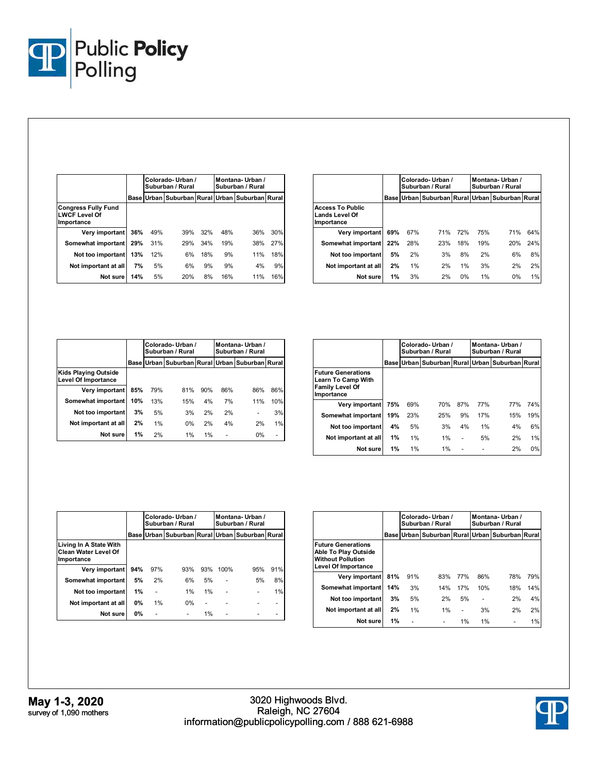

|                                                                  |     |     | Colorado-Urban /<br>Suburban / Rural           |     | Montana-Urban /<br>Suburban / Rural |     |     |
|------------------------------------------------------------------|-----|-----|------------------------------------------------|-----|-------------------------------------|-----|-----|
|                                                                  |     |     | Base Urban Suburban Rural Urban Suburban Rural |     |                                     |     |     |
| <b>Congress Fully Fund</b><br><b>LWCF Level Of</b><br>Importance |     |     |                                                |     |                                     |     |     |
| Very important                                                   | 36% | 49% | 39%                                            | 32% | 48%                                 | 36% | 30% |
| Somewhat important                                               | 29% | 31% | 29%                                            | 34% | 19%                                 | 38% | 27% |
| Not too important                                                | 13% | 12% | 6%                                             | 18% | 9%                                  | 11% | 18% |
| Not important at all                                             | 7%  | 5%  | 6%                                             | 9%  | 9%                                  | 4%  | 9%  |
| Not sure                                                         | 14% | 5%  | 20%                                            | 8%  | 16%                                 | 11% | 16% |

|                                                                |     | Colorado-Urban /<br>Suburban / Rural |     |            | Montana-Urban /<br>Suburban / Rural |                                                |     |
|----------------------------------------------------------------|-----|--------------------------------------|-----|------------|-------------------------------------|------------------------------------------------|-----|
|                                                                |     |                                      |     |            |                                     | Base Urban Suburban Rural Urban Suburban Rural |     |
| <b>Access To Public</b><br><b>Lands Level Of</b><br>Importance |     |                                      |     |            |                                     |                                                |     |
| Very important                                                 | 69% | 67%                                  | 71% | <b>72%</b> | 75%                                 | 71%                                            | 64% |
| Somewhat important                                             | 22% | 28%                                  | 23% | 18%        | 19%                                 | 20%                                            | 24% |
| Not too important                                              | 5%  | 2%                                   | 3%  | 8%         | 2%                                  | 6%                                             | 8%  |
| Not important at all                                           | 2%  | 1%                                   | 2%  | 1%         | 3%                                  | 2%                                             | 2%  |
| Not sure                                                       | 1%  | 3%                                   | 2%  | 0%         | 1%                                  | 0%                                             | 1%  |

|                                             |      |     | Colorado-Urban /<br>Suburban / Rural      |     | Montana-Urban /<br>Suburban / Rural |       |     |
|---------------------------------------------|------|-----|-------------------------------------------|-----|-------------------------------------|-------|-----|
|                                             | Base |     | Urban Suburban Rural Urban Suburban Rural |     |                                     |       |     |
| Kids Playing Outside<br>Level Of Importance |      |     |                                           |     |                                     |       |     |
| Very important                              | 85%  | 79% | 81%                                       | 90% | 86%                                 | 86%   | 86% |
| Somewhat important                          | 10%  | 13% | 15%                                       | 4%  | 7%                                  | 11%   | 10% |
| Not too important                           | 3%   | 5%  | 3%                                        | 2%  | 2%                                  | ٠     | 3%  |
| Not important at all                        | 2%   | 1%  | 0%                                        | 2%  | 4%                                  | 2%    | 1%  |
| Not sure                                    | 1%   | 2%  | 1%                                        | 1%  |                                     | $0\%$ |     |

|                                                                                                |     |     | Colorado-Urban /<br>Suburban / Rural           |     |            | Montana-Urban /<br>Suburban / Rural |     |  |
|------------------------------------------------------------------------------------------------|-----|-----|------------------------------------------------|-----|------------|-------------------------------------|-----|--|
|                                                                                                |     |     | Base Urban Suburban Rural Urban Suburban Rural |     |            |                                     |     |  |
| <b>Future Generations</b><br><b>Learn To Camp With</b><br><b>Family Level Of</b><br>Importance |     |     |                                                |     |            |                                     |     |  |
| Very important                                                                                 | 75% | 69% | 70%                                            | 87% | <b>77%</b> | 77%                                 | 74% |  |
| Somewhat important                                                                             | 19% | 23% | 25%                                            | 9%  | 17%        | 15%                                 | 19% |  |
| Not too important                                                                              | 4%  | 5%  | 3%                                             | 4%  | 1%         | 4%                                  | 6%  |  |
| Not important at all                                                                           | 1%  | 1%  | 1%                                             |     | 5%         | 2%                                  | 1%  |  |
| Not sure                                                                                       | 1%  | 1%  | 1%                                             |     |            | 2%                                  | 0%  |  |

|                                                              |           | Colorado-Urban /<br>Suburban / Rural |                                                |     | Montana-Urban /<br>Suburban / Rural |     |     |
|--------------------------------------------------------------|-----------|--------------------------------------|------------------------------------------------|-----|-------------------------------------|-----|-----|
|                                                              |           |                                      | Base Urban Suburban Rural Urban Suburban Rural |     |                                     |     |     |
| Living In A State With<br>Clean Water Level Of<br>Importance |           |                                      |                                                |     |                                     |     |     |
| Very important                                               | 94%       | 97%                                  | 93%                                            | 93% | 100%                                | 95% | 91% |
| Somewhat important                                           | 5%        | 2%                                   | 6%                                             | 5%  |                                     | 5%  | 8%  |
| Not too important                                            | 1%        |                                      | 1%                                             | 1%  |                                     |     | 1%  |
| Not important at all                                         | <b>0%</b> | 1%                                   | 0%                                             |     |                                     |     |     |
| Not sure                                                     | <b>0%</b> |                                      |                                                | 1%  |                                     |     |     |

|                                                                                                             |     | Colorado-Urban /<br>Suburban / Rural |     |     | Montana-Urban /<br>Suburban / Rural |                                                |     |
|-------------------------------------------------------------------------------------------------------------|-----|--------------------------------------|-----|-----|-------------------------------------|------------------------------------------------|-----|
|                                                                                                             |     |                                      |     |     |                                     | Base Urban Suburban Rural Urban Suburban Rural |     |
| <b>Future Generations</b><br>Able To Play Outside<br><b>Without Pollution</b><br><b>Level Of Importance</b> |     |                                      |     |     |                                     |                                                |     |
| Very important                                                                                              | 81% | 91%                                  | 83% | 77% | 86%                                 | 78%                                            | 79% |
| Somewhat important                                                                                          | 14% | 3%                                   | 14% | 17% | 10%                                 | 18%                                            | 14% |
| Not too important                                                                                           | 3%  | 5%                                   | 2%  | 5%  |                                     | 2%                                             | 4%  |
| Not important at all                                                                                        | 2%  | 1%                                   | 1%  |     | 3%                                  | 2%                                             | 2%  |
| Not sure                                                                                                    | 1%  |                                      |     | 1%  | 1%                                  |                                                | 1%  |